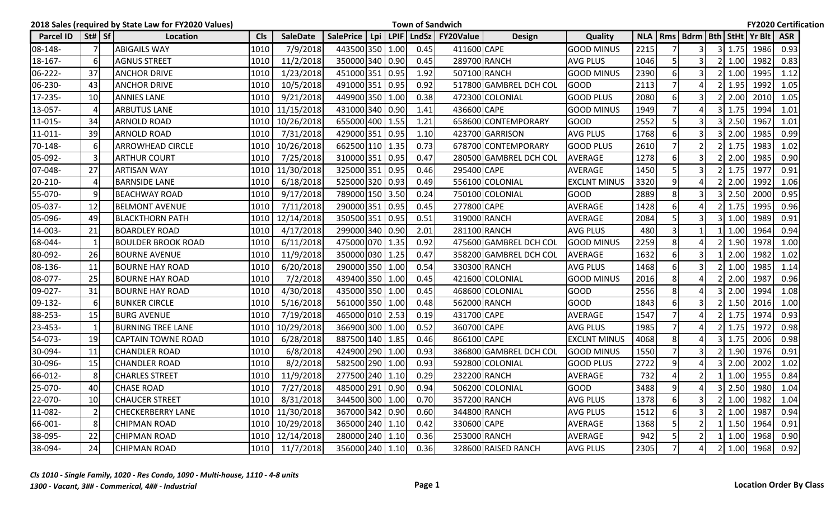|                  |                        | 2018 Sales (required by State Law for FY2020 Values) |            |                 |                 |  |      | <b>Town of Sandwich</b>                    |                        |                     |            |                |                |      |               |                                  | <b>FY2020 Certification</b> |
|------------------|------------------------|------------------------------------------------------|------------|-----------------|-----------------|--|------|--------------------------------------------|------------------------|---------------------|------------|----------------|----------------|------|---------------|----------------------------------|-----------------------------|
| <b>Parcel ID</b> | $\vert$ St# $\vert$ Sf | Location                                             | <b>Cls</b> | <b>SaleDate</b> |                 |  |      | SalePrice   Lpi   LPIF   LndSz   FY20Value | <b>Design</b>          | <b>Quality</b>      | <b>NLA</b> |                |                |      |               | Rms   Bdrm   Bth   StHt   Yr Blt | <b>ASR</b>                  |
| 08-148-          | 7                      | <b>ABIGAILS WAY</b>                                  | 1010       | 7/9/2018        | 443500 350 1.00 |  | 0.45 | 411600 CAPE                                |                        | <b>GOOD MINUS</b>   | 2215       |                | 3              | 3I   | 1.75          | 1986                             | 0.93                        |
| 18-167-          | 6                      | <b>AGNUS STREET</b>                                  | 1010       | 11/2/2018       | 350000 340 0.90 |  | 0.45 |                                            | 289700 RANCH           | <b>AVG PLUS</b>     | 1046       | 5              | 3              |      | 1.00          | 1982                             | 0.83                        |
| 06-222-          | 37                     | <b>ANCHOR DRIVE</b>                                  | 1010       | 1/23/2018       | 451000 351 0.95 |  | 1.92 |                                            | 507100 RANCH           | <b>GOOD MINUS</b>   | 2390       | 6              | 3              |      | 1.00          | 1995                             | 1.12                        |
| 06-230-          | 43                     | <b>ANCHOR DRIVE</b>                                  | 1010       | 10/5/2018       | 491000 351 0.95 |  | 0.92 |                                            | 517800 GAMBREL DCH COL | <b>GOOD</b>         | 2113       | $\overline{7}$ |                |      | 1.95          | 1992                             | 1.05                        |
| 17-235-          | 10                     | <b>ANNIES LANE</b>                                   | 1010       | 9/21/2018       | 449900 350 1.00 |  | 0.38 |                                            | 472300 COLONIAL        | <b>GOOD PLUS</b>    | 2080       | 6              |                |      | 2.00          | 2010                             | 1.05                        |
| 13-057-          | $\boldsymbol{\Lambda}$ | <b>ARBUTUS LANE</b>                                  | 1010       | 11/15/2018      | 431000 340 0.90 |  | 1.41 | 436600 CAPE                                |                        | <b>GOOD MINUS</b>   | 1949       | 7              |                | 3    | 1.75          | 1994                             | 1.01                        |
| 11-015-          | 34                     | <b>ARNOLD ROAD</b>                                   | 1010       | 10/26/2018      | 655000 400 1.55 |  | 1.21 |                                            | 658600 CONTEMPORARY    | <b>GOOD</b>         | 2552       | 5              |                |      | 2.50          | 1967                             | 1.01                        |
| 11-011-          | 39                     | <b>ARNOLD ROAD</b>                                   | 1010       | 7/31/2018       | 429000 351 0.95 |  | 1.10 |                                            | 423700 GARRISON        | <b>AVG PLUS</b>     | 1768       | 6              | $\overline{3}$ |      | 2.00          | 1985                             | 0.99                        |
| 70-148-          | 6                      | <b>ARROWHEAD CIRCLE</b>                              | 1010       | 10/26/2018      | 662500 110 1.35 |  | 0.73 |                                            | 678700 CONTEMPORARY    | <b>GOOD PLUS</b>    | 2610       | $\overline{7}$ |                |      | 1.75          | 1983                             | 1.02                        |
| 05-092-          | 3                      | <b>ARTHUR COURT</b>                                  | 1010       | 7/25/2018       | 310000 351 0.95 |  | 0.47 |                                            | 280500 GAMBREL DCH COL | <b>AVERAGE</b>      | 1278       | -6             | 3              |      | 2.00          | 1985                             | 0.90                        |
| 07-048-          | 27                     | <b>ARTISAN WAY</b>                                   | 1010       | 11/30/2018      | 325000 351 0.95 |  | 0.46 | 295400 CAPE                                |                        | <b>AVERAGE</b>      | 1450       | -5             | 3              |      | 1.75          | 1977                             | 0.91                        |
| 20-210-          | 4                      | <b>BARNSIDE LANE</b>                                 | 1010       | 6/18/2018       | 525000 320 0.93 |  | 0.49 |                                            | 556100 COLONIAL        | <b>EXCLNT MINUS</b> | 3320       | 9              |                |      | 2.00          | 1992                             | 1.06                        |
| 55-070-          | 9                      | <b>BEACHWAY ROAD</b>                                 | 1010       | 9/17/2018       | 789000 150 3.50 |  | 0.24 |                                            | 750100 COLONIAL        | <b>GOOD</b>         | 2889       | 8              |                |      | 2.50          | 2000                             | 0.95                        |
| 05-037-          | 12                     | <b>BELMONT AVENUE</b>                                | 1010       | 7/11/2018       | 290000 351 0.95 |  | 0.45 | 277800 CAPE                                |                        | AVERAGE             | 1428       | 6              |                |      | 1.75          | 1995                             | 0.96                        |
| 05-096-          | 49                     | <b>BLACKTHORN PATH</b>                               | 1010       | 12/14/2018      | 350500 351 0.95 |  | 0.51 |                                            | 319000 RANCH           | <b>AVERAGE</b>      | 2084       |                |                |      | 1.00          | 1989                             | 0.91                        |
| 14-003-          | 21                     | <b>BOARDLEY ROAD</b>                                 | 1010       | 4/17/2018       | 299000 340 0.90 |  | 2.01 |                                            | 281100 RANCH           | <b>AVG PLUS</b>     | 480        | 3              |                |      | 1.00          | 1964                             | 0.94                        |
| 68-044-          | 1                      | <b>BOULDER BROOK ROAD</b>                            | 1010       | 6/11/2018       | 475000 070 1.35 |  | 0.92 |                                            | 475600 GAMBREL DCH COL | <b>GOOD MINUS</b>   | 2259       | 8              |                |      | 1.90          | 1978                             | 1.00                        |
| 80-092-          | 26                     | <b>BOURNE AVENUE</b>                                 | 1010       | 11/9/2018       | 350000 030 1.25 |  | 0.47 |                                            | 358200 GAMBREL DCH COL | <b>AVERAGE</b>      | 1632       | 6              | 3              |      | 2.00          | 1982                             | 1.02                        |
| 08-136-          | 11                     | <b>BOURNE HAY ROAD</b>                               | 1010       | 6/20/2018       | 290000 350 1.00 |  | 0.54 |                                            | 330300 RANCH           | <b>AVG PLUS</b>     | 1468       | -6             |                |      | 1.00          | 1985                             | 1.14                        |
| 08-077-          | 25                     | <b>BOURNE HAY ROAD</b>                               | 1010       | 7/2/2018        | 439400 350 1.00 |  | 0.45 |                                            | 421600 COLONIAL        | <b>GOOD MINUS</b>   | 2016       | 8              |                |      | 2.00          | 1987                             | 0.96                        |
| 09-027-          | 31                     | <b>BOURNE HAY ROAD</b>                               | 1010       | 4/30/2018       | 435000 350 1.00 |  | 0.45 |                                            | 468600 COLONIAL        | <b>GOOD</b>         | 2556       | 8              |                |      | 2.00          | 1994                             | 1.08                        |
| 09-132-          | 6                      | <b>BUNKER CIRCLE</b>                                 | 1010       | 5/16/2018       | 561000 350 1.00 |  | 0.48 | 562000 RANCH                               |                        | <b>GOOD</b>         | 1843       | 6              |                |      | 1.50          | 2016                             | 1.00                        |
| 88-253-          | 15                     | <b>BURG AVENUE</b>                                   | 1010       | 7/19/2018       | 465000 010 2.53 |  | 0.19 | 431700 CAPE                                |                        | <b>AVERAGE</b>      | 1547       | $\overline{7}$ |                |      | 1.75          | 1974                             | 0.93                        |
| 23-453-          | 1                      | <b>BURNING TREE LANE</b>                             | 1010       | 10/29/2018      | 366900 300 1.00 |  | 0.52 | 360700 CAPE                                |                        | <b>AVG PLUS</b>     | 1985       | $\overline{ }$ |                |      | 1.75          | 1972                             | 0.98                        |
| 54-073-          | 19                     | <b>CAPTAIN TOWNE ROAD</b>                            | 1010       | 6/28/2018       | 887500 140 1.85 |  | 0.46 | 866100 CAPE                                |                        | <b>EXCLNT MINUS</b> | 4068       | 8              |                |      | 1.75          | 2006                             | 0.98                        |
| 30-094-          | 11                     | <b>CHANDLER ROAD</b>                                 | 1010       | 6/8/2018        | 424900 290 1.00 |  | 0.93 |                                            | 386800 GAMBREL DCH COL | <b>GOOD MINUS</b>   | 1550       | $\overline{7}$ |                |      | 1.90          | 1976                             | 0.91                        |
| 30-096-          | 15                     | <b>CHANDLER ROAD</b>                                 | 1010       | 8/2/2018        | 582500 290 1.00 |  | 0.93 |                                            | 592800 COLONIAL        | <b>GOOD PLUS</b>    | 2722       | 9              |                |      | 2.00          | 2002                             | 1.02                        |
| 66-012-          | 8                      | <b>CHARLES STREET</b>                                | 1010       | 11/9/2018       | 277500 240 1.10 |  | 0.29 | 232200 RANCH                               |                        | <b>AVERAGE</b>      | 732        | $\Delta$       |                |      | 1.00          | 1955                             | 0.84                        |
| 25-070-          | 40                     | <b>CHASE ROAD</b>                                    | 1010       | 7/27/2018       | 485000 291 0.90 |  | 0.94 |                                            | 506200 COLONIAL        | <b>GOOD</b>         | 3488       | q              | $\overline{4}$ | -3 I | 2.50          | 1980                             | 1.04                        |
| 22-070-          | 10                     | <b>CHAUCER STREET</b>                                | 1010       | 8/31/2018       | 344500 300 1.00 |  | 0.70 |                                            | 357200 RANCH           | <b>AVG PLUS</b>     | 1378       | 6              | 31             |      | $2 \mid 1.00$ | 1982                             | 1.04                        |
| 11-082-          | $\overline{2}$         | <b>CHECKERBERRY LANE</b>                             | 1010       | 11/30/2018      | 367000 342 0.90 |  | 0.60 |                                            | 344800 RANCH           | <b>AVG PLUS</b>     | 1512       | 6              |                |      | 1.00          | 1987                             | 0.94                        |
| 66-001-          | 8                      | <b>CHIPMAN ROAD</b>                                  | 1010       | 10/29/2018      | 365000 240 1.10 |  | 0.42 | 330600 CAPE                                |                        | AVERAGE             | 1368       |                |                |      | 1.50          | 1964                             | 0.91                        |
| 38-095-          | 22                     | <b>CHIPMAN ROAD</b>                                  |            | 1010 12/14/2018 | 280000 240 1.10 |  | 0.36 |                                            | 253000 RANCH           | AVERAGE             | 942        | 5              | $\overline{2}$ |      | 1.00          | 1968                             | 0.90                        |
| 38-094-          | 24                     | <b>CHIPMAN ROAD</b>                                  | 1010       | 11/7/2018       | 356000 240 1.10 |  | 0.36 |                                            | 328600 RAISED RANCH    | <b>AVG PLUS</b>     | 2305       |                | 41             |      |               | 2 1.00 1968                      | 0.92                        |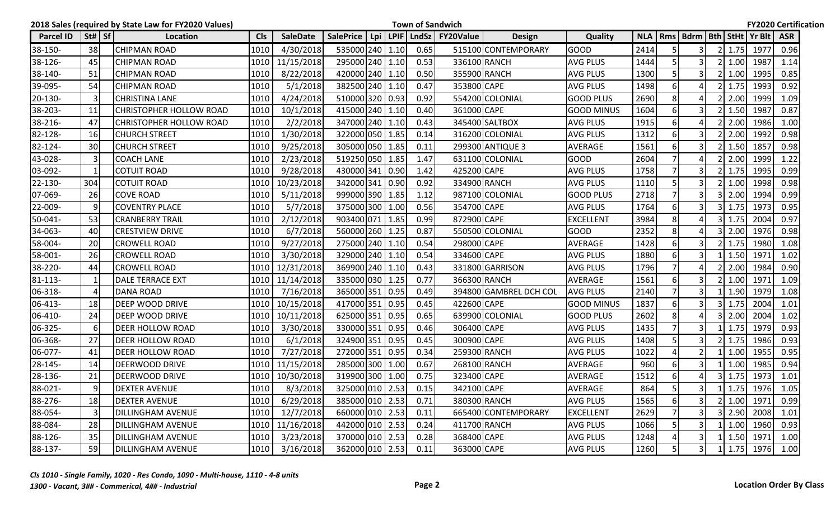|                  |                                | 2018 Sales (required by State Law for FY2020 Values) |            |                 |                  |     |      | <b>Town of Sandwich</b> |                          |                        |                   |      |                |                |                    |                                        | <b>FY2020 Certification</b> |  |
|------------------|--------------------------------|------------------------------------------------------|------------|-----------------|------------------|-----|------|-------------------------|--------------------------|------------------------|-------------------|------|----------------|----------------|--------------------|----------------------------------------|-----------------------------|--|
| <b>Parcel ID</b> | $\vert$ St# $\vert$ Sf $\vert$ | Location                                             | <b>Cls</b> | <b>SaleDate</b> | <b>SalePrice</b> | Lpi |      |                         | LPIF   LndSz   FY20Value | <b>Design</b>          | <b>Quality</b>    |      |                |                |                    | NLA   Rms   Bdrm   Bth   StHt   Yr Blt | <b>ASR</b>                  |  |
| 38-150-          | 38                             | <b>CHIPMAN ROAD</b>                                  | 1010       | 4/30/2018       | 535000 240 1.10  |     |      | 0.65                    |                          | 515100 CONTEMPORARY    | <b>GOOD</b>       | 2414 |                | 3              | $2 \mid 1.75$      | 1977                                   | 0.96                        |  |
| 38-126-          | 45                             | <b>CHIPMAN ROAD</b>                                  | 1010       | 11/15/2018      | 295000 240 1.10  |     |      | 0.53                    |                          | 336100 RANCH           | <b>AVG PLUS</b>   | 1444 | 5              | 3              | 1.00               | 1987                                   | 1.14                        |  |
| 38-140-          | 51                             | <b>CHIPMAN ROAD</b>                                  | 1010       | 8/22/2018       | 420000 240 1.10  |     |      | 0.50                    |                          | 355900 RANCH           | AVG PLUS          | 1300 | 5              | 3              | 1.00               | 1995                                   | 0.85                        |  |
| 39-095-          | 54                             | <b>CHIPMAN ROAD</b>                                  | 1010       | 5/1/2018        | 382500 240 1.10  |     |      | 0.47                    | 353800 CAPE              |                        | AVG PLUS          | 1498 | 6              |                | 1.75               | 1993                                   | 0.92                        |  |
| 20-130-          | 3                              | <b>CHRISTINA LANE</b>                                | 1010       | 4/24/2018       | 510000 320 0.93  |     |      | 0.92                    |                          | 554200 COLONIAL        | GOOD PLUS         | 2690 | 8              |                | 2.00               | 1999                                   | 1.09                        |  |
| 38-203-          | 11                             | <b>CHRISTOPHER HOLLOW ROAD</b>                       | 1010       | 10/1/2018       | 415000 240 1.10  |     |      | 0.40                    | 361000 CAPE              |                        | <b>GOOD MINUS</b> | 1604 | 6              | 3              | 1.50               | 1987                                   | 0.87                        |  |
| 38-216-          | 47                             | <b>CHRISTOPHER HOLLOW ROAD</b>                       | 1010       | 2/2/2018        | 347000 240 1.10  |     |      | 0.43                    |                          | 345400 SALTBOX         | AVG PLUS          | 1915 | 6              |                | 2.00               | 1986                                   | 1.00                        |  |
| 82-128-          | 16                             | <b>CHURCH STREET</b>                                 | 1010       | 1/30/2018       | 322000 050 1.85  |     |      | 0.14                    |                          | 316200 COLONIAL        | AVG PLUS          | 1312 | 6              | 3              | 2.00               | 1992                                   | 0.98                        |  |
| 82-124-          | 30                             | CHURCH STREET                                        | 1010       | 9/25/2018       | 305000 050 1.85  |     |      | 0.11                    |                          | 299300 ANTIQUE 3       | AVERAGE           | 1561 | 6              | 3              | 1.50               | 1857                                   | 0.98                        |  |
| 43-028-          | 3                              | <b>COACH LANE</b>                                    | 1010       | 2/23/2018       | 519250 050 1.85  |     |      | 1.47                    |                          | 631100 COLONIAL        | GOOD              | 2604 |                |                | 2.00               | 1999                                   | 1.22                        |  |
| 03-092-          | $\mathbf{1}$                   | <b>COTUIT ROAD</b>                                   | 1010       | 9/28/2018       | 430000 341 0.90  |     |      | 1.42                    | 425200 CAPE              |                        | <b>AVG PLUS</b>   | 1758 | $\overline{7}$ | 3              | 1.75               | 1995                                   | 0.99                        |  |
| 22-130-          | 304                            | <b>COTUIT ROAD</b>                                   | 1010       | 10/23/2018      | 342000 341 0.90  |     |      | 0.92                    |                          | 334900 RANCH           | <b>AVG PLUS</b>   | 1110 | 5              |                | 1.00               | 1998                                   | 0.98                        |  |
| 07-069-          | 26                             | <b>COVE ROAD</b>                                     | 1010       | 5/11/2018       | 999000 390 1.85  |     |      | 1.12                    |                          | 987100 COLONIAL        | <b>GOOD PLUS</b>  | 2718 |                |                | 2.00               | 1994                                   | 0.99                        |  |
| 22-009-          | 9                              | <b>COVENTRY PLACE</b>                                | 1010       | 5/7/2018        | 375000 300 1.00  |     |      | 0.56                    | 354700 CAPE              |                        | AVG PLUS          | 1764 | 6              |                | 1.75               | 1973                                   | 0.95                        |  |
| 50-041-          | 53                             | <b>CRANBERRY TRAIL</b>                               | 1010       | 2/12/2018       | 903400 071 1.85  |     |      | 0.99                    | 872900 CAPE              |                        | <b>EXCELLENT</b>  | 3984 | 8              |                | 1.75               | 2004                                   | 0.97                        |  |
| 34-063-          | 40                             | <b>CRESTVIEW DRIVE</b>                               | 1010       | 6/7/2018        | 560000 260 1.25  |     |      | 0.87                    |                          | 550500 COLONIAL        | <b>GOOD</b>       | 2352 | 8              |                | 2.00               | 1976                                   | 0.98                        |  |
| 58-004-          | 20                             | <b>CROWELL ROAD</b>                                  | 1010       | 9/27/2018       | 275000 240 1.10  |     |      | 0.54                    | 298000 CAPE              |                        | AVERAGE           | 1428 | 6              | 3              | 1.75               | 1980                                   | 1.08                        |  |
| 58-001-          | 26                             | <b>CROWELL ROAD</b>                                  | 1010       | 3/30/2018       | 329000 240 1.10  |     |      | 0.54                    | 334600 CAPE              |                        | <b>AVG PLUS</b>   | 1880 | 6              | 3              | 1.50               | 1971                                   | 1.02                        |  |
| 38-220-          | 44                             | <b>CROWELL ROAD</b>                                  | 1010       | 12/31/2018      | 369900 240 1.10  |     |      | 0.43                    |                          | 331800 GARRISON        | <b>AVG PLUS</b>   | 1796 |                |                | 2.00               | 1984                                   | 0.90                        |  |
| $81 - 113 -$     | $\mathbf{1}$                   | DALE TERRACE EXT                                     | 1010       | 11/14/2018      | 335000 030       |     | 1.25 | 0.77                    |                          | 366300 RANCH           | AVERAGE           | 1561 | 6              | 3              | 1.00               | 1971                                   | 1.09                        |  |
| 06-318-          | 4                              | <b>DANA ROAD</b>                                     | 1010       | 7/16/2018       | 365000 351 0.95  |     |      | 0.49                    |                          | 394800 GAMBREL DCH COL | <b>AVG PLUS</b>   | 2140 | $\overline{7}$ | 3              | 1.90               | 1979                                   | 1.08                        |  |
| 06-413-          | 18                             | DEEP WOOD DRIVE                                      | 1010       | 10/15/2018      | 417000 351 0.95  |     |      | 0.45                    | 422600 CAPE              |                        | <b>GOOD MINUS</b> | 1837 | 6              | 3              | 1.75               | 2004                                   | 1.01                        |  |
| 06-410-          | 24                             | <b>DEEP WOOD DRIVE</b>                               | 1010       | 10/11/2018      | 625000 351 0.95  |     |      | 0.65                    |                          | 639900 COLONIAL        | <b>GOOD PLUS</b>  | 2602 | 8              |                | 2.00               | 2004                                   | 1.02                        |  |
| 06-325-          | 6                              | DEER HOLLOW ROAD                                     | 1010       | 3/30/2018       | 330000 351 0.95  |     |      | 0.46                    | 306400 CAPE              |                        | <b>AVG PLUS</b>   | 1435 |                | 3              | 1.75               | 1979                                   | 0.93                        |  |
| 06-368-          | 27                             | <b>DEER HOLLOW ROAD</b>                              | 1010       | 6/1/2018        | 324900 351 0.95  |     |      | 0.45                    | 300900 CAPE              |                        | <b>AVG PLUS</b>   | 1408 | 5              | 3              | 1.75               | 1986                                   | 0.93                        |  |
| 06-077-          | 41                             | DEER HOLLOW ROAD                                     | 1010       | 7/27/2018       | 272000 351 0.95  |     |      | 0.34                    |                          | 259300 RANCH           | AVG PLUS          | 1022 | $\Delta$       |                | 1.00               | 1955                                   | 0.95                        |  |
| 28-145-          | 14                             | DEERWOOD DRIVE                                       | 1010       | 11/15/2018      | 285000 300 1.00  |     |      | 0.67                    |                          | 268100 RANCH           | AVERAGE           | 960  | 6              | $\overline{3}$ | 1.00               | 1985                                   | 0.94                        |  |
| 28-136-          | 21                             | <b>DEERWOOD DRIVE</b>                                | 1010       | 10/30/2018      | 319900 300 1.00  |     |      | 0.75                    | 323400 CAPE              |                        | AVERAGE           | 1512 | 6              |                | 1.75               | 1973                                   | 1.01                        |  |
| 88-021-          | $\mathbf{q}$                   | <b>DEXTER AVENUE</b>                                 | 1010       | 8/3/2018        | 325000 010 2.53  |     |      | 0.15                    | 342100 CAPE              |                        | AVERAGE           | 864  | $\overline{5}$ | 3              | $1 \mid 1.75 \mid$ | 1976                                   | 1.05                        |  |
| 88-276-          | 18                             | <b>DEXTER AVENUE</b>                                 | 1010       | 6/29/2018       | 385000 010 2.53  |     |      | 0.71                    |                          | 380300 RANCH           | <b>AVG PLUS</b>   | 1565 | 6              | 3              | $2 \mid 1.00$      | 1971                                   | 0.99                        |  |
| 88-054-          | $\overline{3}$                 | DILLINGHAM AVENUE                                    | 1010       | 12/7/2018       | 660000 010 2.53  |     |      | 0.11                    |                          | 665400 CONTEMPORARY    | <b>EXCELLENT</b>  | 2629 |                |                | 2.90               | 2008                                   | 1.01                        |  |
| 88-084-          | 28                             | <b>DILLINGHAM AVENUE</b>                             |            | 1010 11/16/2018 | 442000 010 2.53  |     |      | 0.24                    |                          | 411700 RANCH           | AVG PLUS          | 1066 | 5              |                | 1.00               | 1960                                   | 0.93                        |  |
| 88-126-          | 35                             | <b>DILLINGHAM AVENUE</b>                             | 1010       | 3/23/2018       | 370000 010 2.53  |     |      | 0.28                    | 368400 CAPE              |                        | AVG PLUS          | 1248 |                | 3              | 1.50               | 1971                                   | 1.00                        |  |
| 88-137-          | 59                             | <b>DILLINGHAM AVENUE</b>                             | 1010       | 3/16/2018       | 362000 010 2.53  |     |      | 0.11                    | 363000 CAPE              |                        | <b>AVG PLUS</b>   | 1260 | 5 <sub>l</sub> | 3              | $1 \mid 1.75 \mid$ | 1976                                   | 1.00                        |  |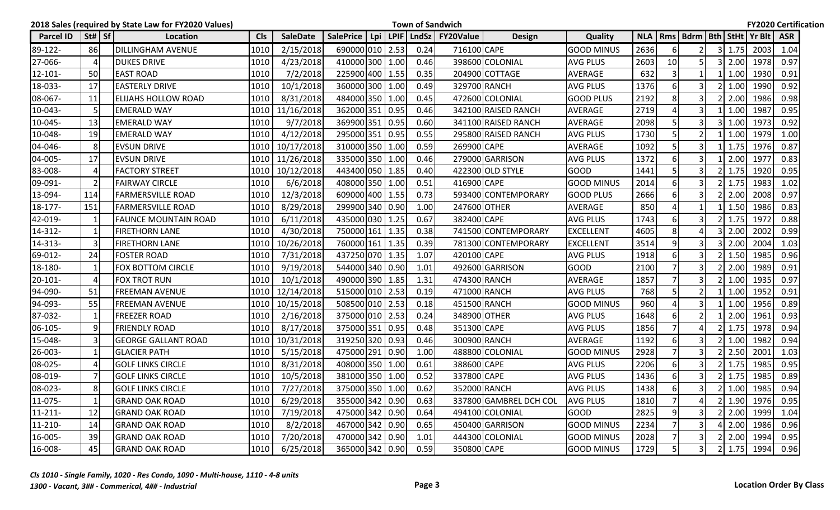|                  |                                | 2018 Sales (required by State Law for FY2020 Values) |            |                 |                 |  |      | <b>Town of Sandwich</b>                    |                        |                   |            |                |                |                    |                                  | <b>FY2020 Certification</b> |  |
|------------------|--------------------------------|------------------------------------------------------|------------|-----------------|-----------------|--|------|--------------------------------------------|------------------------|-------------------|------------|----------------|----------------|--------------------|----------------------------------|-----------------------------|--|
| <b>Parcel ID</b> | $\left  \text{St#} \right $ Sf | Location                                             | <b>CIs</b> | <b>SaleDate</b> |                 |  |      | SalePrice   Lpi   LPIF   LndSz   FY20Value | <b>Design</b>          | Quality           | <b>NLA</b> |                |                |                    | Rms   Bdrm   Bth   StHt   Yr Blt | <b>ASR</b>                  |  |
| 89-122-          | 86                             | <b>DILLINGHAM AVENUE</b>                             | 1010       | 2/15/2018       | 690000 010 2.53 |  | 0.24 | 716100 CAPE                                |                        | <b>GOOD MINUS</b> | 2636       | 6              |                | $3 \mid 1.75$      | 2003                             | 1.04                        |  |
| 27-066-          | $\overline{4}$                 | <b>DUKES DRIVE</b>                                   | 1010       | 4/23/2018       | 410000 300 1.00 |  | 0.46 |                                            | 398600 COLONIAL        | <b>AVG PLUS</b>   | 2603       | 10             | 5              | 2.00               | 1978                             | 0.97                        |  |
| $12 - 101 -$     | 50                             | <b>EAST ROAD</b>                                     | 1010       | 7/2/2018        | 225900 400 1.55 |  | 0.35 |                                            | 204900 COTTAGE         | <b>AVERAGE</b>    | 632        | 3              |                | 1.00               | 1930                             | 0.91                        |  |
| 18-033-          | 17                             | <b>EASTERLY DRIVE</b>                                | 1010       | 10/1/2018       | 360000 300 1.00 |  | 0.49 |                                            | 329700 RANCH           | <b>AVG PLUS</b>   | 1376       | 6              |                | 1.00               | 1990                             | 0.92                        |  |
| 08-067-          | 11                             | ELIJAHS HOLLOW ROAD                                  | 1010       | 8/31/2018       | 484000 350 1.00 |  | 0.45 |                                            | 472600 COLONIAL        | <b>GOOD PLUS</b>  | 2192       | 8              | 3              | 2.00               | 1986                             | 0.98                        |  |
| 10-043-          | 5                              | <b>EMERALD WAY</b>                                   | 1010       | 11/16/2018      | 362000 351 0.95 |  | 0.46 |                                            | 342100 RAISED RANCH    | <b>AVERAGE</b>    | 2719       | $\overline{4}$ | 3              | 1.00               | 1987                             | 0.95                        |  |
| 10-045-          | 13                             | <b>EMERALD WAY</b>                                   | 1010       | 9/7/2018        | 369900 351 0.95 |  | 0.60 |                                            | 341100 RAISED RANCH    | <b>AVERAGE</b>    | 2098       | 5              |                | 1.00               | 1973                             | 0.92                        |  |
| 10-048-          | 19                             | <b>EMERALD WAY</b>                                   | 1010       | 4/12/2018       | 295000 351 0.95 |  | 0.55 |                                            | 295800 RAISED RANCH    | <b>AVG PLUS</b>   | 1730       | 5              | $\overline{2}$ | 1.00               | 1979                             | 1.00                        |  |
| 04-046-          | 8                              | <b>EVSUN DRIVE</b>                                   | 1010       | 10/17/2018      | 310000 350 1.00 |  | 0.59 | 269900 CAPE                                |                        | <b>AVERAGE</b>    | 1092       | 5              | $\overline{3}$ | 1.75               | 1976                             | 0.87                        |  |
| 04-005-          | 17                             | <b>EVSUN DRIVE</b>                                   | 1010       | 11/26/2018      | 335000 350 1.00 |  | 0.46 |                                            | 279000 GARRISON        | <b>AVG PLUS</b>   | 1372       | 6              | 3              | 2.00               | 1977                             | 0.83                        |  |
| 83-008-          | 4                              | <b>FACTORY STREET</b>                                | 1010       | 10/12/2018      | 443400 050 1.85 |  | 0.40 |                                            | 422300 OLD STYLE       | <b>GOOD</b>       | 1441       | 5              | 3              | 1.75               | 1920                             | 0.95                        |  |
| 09-091-          | $\overline{2}$                 | <b>FAIRWAY CIRCLE</b>                                | 1010       | 6/6/2018        | 408000 350 1.00 |  | 0.51 | 416900 CAPE                                |                        | <b>GOOD MINUS</b> | 2014       | 6              |                | 1.75               | 1983                             | 1.02                        |  |
| 13-094-          | 114                            | <b>FARMERSVILLE ROAD</b>                             | 1010       | 12/3/2018       | 609000 400 1.55 |  | 0.73 |                                            | 593400 CONTEMPORARY    | <b>GOOD PLUS</b>  | 2666       | 6              |                | 2.00               | 2008                             | 0.97                        |  |
| 18-177-          | 151                            | <b>FARMERSVILLE ROAD</b>                             | 1010       | 8/29/2018       | 299900 340 0.90 |  | 1.00 |                                            | 247600 OTHER           | <b>AVERAGE</b>    | 850        | $\overline{4}$ |                | 1.50               | 1986                             | 0.83                        |  |
| 42-019-          | $\mathbf{1}$                   | <b>FAUNCE MOUNTAIN ROAD</b>                          | 1010       | 6/11/2018       | 435000 030 1.25 |  | 0.67 | 382400 CAPE                                |                        | <b>AVG PLUS</b>   | 1743       | 6              | 3              | 1.75               | 1972                             | 0.88                        |  |
| 14-312-          | $\mathbf{1}$                   | <b>FIRETHORN LANE</b>                                | 1010       | 4/30/2018       | 750000 161 1.35 |  | 0.38 |                                            | 741500 CONTEMPORARY    | <b>EXCELLENT</b>  | 4605       | 8              |                | 2.00               | 2002                             | 0.99                        |  |
| 14-313-          | 3                              | FIRETHORN LANE                                       | 1010       | 10/26/2018      | 760000 161 1.35 |  | 0.39 |                                            | 781300 CONTEMPORARY    | <b>EXCELLENT</b>  | 3514       | 9              |                | 2.00               | 2004                             | 1.03                        |  |
| 69-012-          | 24                             | <b>FOSTER ROAD</b>                                   | 1010       | 7/31/2018       | 437250 070 1.35 |  | 1.07 | 420100 CAPE                                |                        | <b>AVG PLUS</b>   | 1918       | 6              | 3              | 1.50               | 1985                             | 0.96                        |  |
| 18-180-          | -1                             | <b>FOX BOTTOM CIRCLE</b>                             | 1010       | 9/19/2018       | 544000 340 0.90 |  | 1.01 |                                            | 492600 GARRISON        | <b>GOOD</b>       | 2100       |                |                | 2.00               | 1989                             | 0.91                        |  |
| 20-101-          | $\overline{4}$                 | <b>FOX TROT RUN</b>                                  | 1010       | 10/1/2018       | 490000 390 1.85 |  | 1.31 |                                            | 474300 RANCH           | <b>AVERAGE</b>    | 1857       | $\overline{7}$ | 3              | 1.00               | 1935                             | 0.97                        |  |
| 94-090-          | 51                             | <b>FREEMAN AVENUE</b>                                | 1010       | 12/14/2018      | 515000 010 2.53 |  | 0.19 |                                            | 471000 RANCH           | <b>AVG PLUS</b>   | 768        | 5              | $\overline{2}$ | 1.00               | 1952                             | 0.91                        |  |
| 94-093-          | 55                             | <b>FREEMAN AVENUE</b>                                | 1010       | 10/15/2018      | 508500 010 2.53 |  | 0.18 |                                            | 451500 RANCH           | <b>GOOD MINUS</b> | 960        | $\Delta$       | $\overline{3}$ | 1.00               | 1956                             | 0.89                        |  |
| 87-032-          | $\mathbf{1}$                   | <b>FREEZER ROAD</b>                                  | 1010       | 2/16/2018       | 375000 010 2.53 |  | 0.24 |                                            | 348900 OTHER           | <b>AVG PLUS</b>   | 1648       | 6              |                | 2.00               | 1961                             | 0.93                        |  |
| 06-105-          | 9                              | <b>FRIENDLY ROAD</b>                                 | 1010       | 8/17/2018       | 375000 351 0.95 |  | 0.48 | 351300 CAPE                                |                        | <b>AVG PLUS</b>   | 1856       |                |                | 1.75               | 1978                             | 0.94                        |  |
| 15-048-          | $\overline{\mathbf{3}}$        | <b>GEORGE GALLANT ROAD</b>                           | 1010       | 10/31/2018      | 319250 320 0.93 |  | 0.46 |                                            | 300900 RANCH           | <b>AVERAGE</b>    | 1192       | 6              | 3              | 1.00               | 1982                             | 0.94                        |  |
| 26-003-          | 1                              | <b>GLACIER PATH</b>                                  | 1010       | 5/15/2018       | 475000 291 0.90 |  | 1.00 |                                            | 488800 COLONIAL        | <b>GOOD MINUS</b> | 2928       | $\overline{7}$ |                | 2.50               | 2001                             | 1.03                        |  |
| 08-025-          | 4                              | <b>GOLF LINKS CIRCLE</b>                             | 1010       | 8/31/2018       | 408000 350 1.00 |  | 0.61 | 388600 CAPE                                |                        | <b>AVG PLUS</b>   | 2206       | 6              | 3              | 1.75               | 1985                             | 0.95                        |  |
| 08-019-          | $\overline{7}$                 | <b>GOLF LINKS CIRCLE</b>                             | 1010       | 10/5/2018       | 381000 350 1.00 |  | 0.52 | 337800 CAPE                                |                        | <b>AVG PLUS</b>   | 1436       | 6              |                | 1.75               | 1985                             | 0.89                        |  |
| 08-023-          | 8                              | <b>GOLF LINKS CIRCLE</b>                             | 1010<br>   | 7/27/2018       | 375000 350 1.00 |  | 0.62 |                                            | 352000 RANCH           | <b>AVG PLUS</b>   | 1438       | 6 <sub>1</sub> | 31             | $2 \mid 1.00 \mid$ | 1985                             | 0.94                        |  |
| 11-075-          | $\mathbf{1}$                   | <b>GRAND OAK ROAD</b>                                | 1010       | 6/29/2018       | 355000 342 0.90 |  | 0.63 |                                            | 337800 GAMBREL DCH COL | <b>AVG PLUS</b>   | 1810       | $\overline{7}$ | 4              |                    | 2 1.90 1976                      | 0.95                        |  |
| $11 - 211 -$     | 12                             | <b>GRAND OAK ROAD</b>                                | 1010       | 7/19/2018       | 475000 342 0.90 |  | 0.64 |                                            | 494100 COLONIAL        | <b>GOOD</b>       | 2825       | 9              |                | 2.00               | 1999                             | 1.04                        |  |
| $11 - 210 -$     | 14                             | <b>GRAND OAK ROAD</b>                                | 1010       | 8/2/2018        | 467000 342 0.90 |  | 0.65 |                                            | 450400 GARRISON        | <b>GOOD MINUS</b> | 2234       |                |                | 2.00               | 1986                             | 0.96                        |  |
| 16-005-          | 39                             | <b>GRAND OAK ROAD</b>                                | 1010       | 7/20/2018       | 470000 342 0.90 |  | 1.01 |                                            | 444300 COLONIAL        | <b>GOOD MINUS</b> | 2028       |                | 31             | 2.00               | 1994                             | 0.95                        |  |
| 16-008-          | 45                             | <b>GRAND OAK ROAD</b>                                | 1010       | 6/25/2018       | 365000 342 0.90 |  | 0.59 | 350800 CAPE                                |                        | <b>GOOD MINUS</b> | 1729       | $\vert$        | 3 <sup>1</sup> |                    | 2 1.75 1994                      | 0.96                        |  |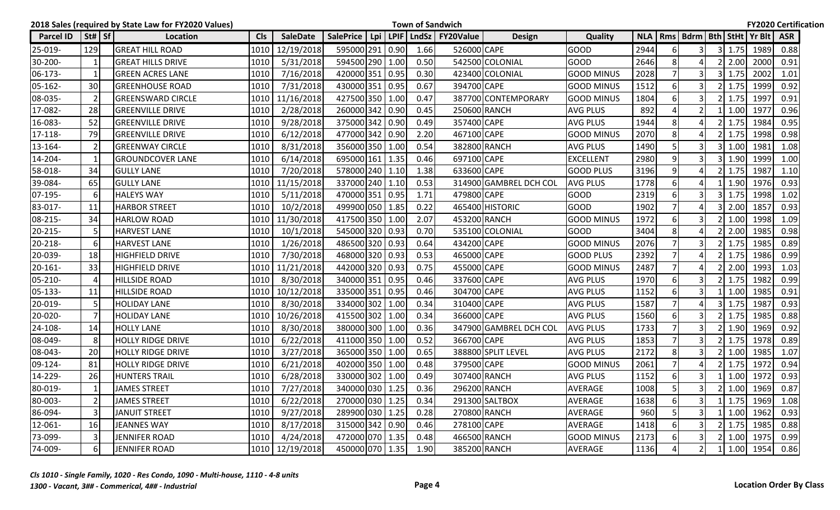|               |                                | 2018 Sales (required by State Law for FY2020 Values) |            |                 |                  |     |      | <b>Town of Sandwich</b>  |                        |                   |      |                |                         |                    |                                        | <b>FY2020 Certification</b> |  |
|---------------|--------------------------------|------------------------------------------------------|------------|-----------------|------------------|-----|------|--------------------------|------------------------|-------------------|------|----------------|-------------------------|--------------------|----------------------------------------|-----------------------------|--|
| Parcel ID     | $\vert$ St# $\vert$ Sf $\vert$ | Location                                             | <b>CIs</b> | <b>SaleDate</b> | <b>SalePrice</b> | Lpi |      | LPIF   LndSz   FY20Value | <b>Design</b>          | Quality           |      |                |                         |                    | NLA   Rms   Bdrm   Bth   StHt   Yr Blt | <b>ASR</b>                  |  |
| 25-019-       | 129                            | <b>GREAT HILL ROAD</b>                               | 1010       | 12/19/2018      | 595000 291 0.90  |     | 1.66 | 526000 CAPE              |                        | GOOD              | 2944 | 6              | 3                       | $3 \mid 1.75$      | 1989                                   | 0.88                        |  |
| 30-200-       | $\mathbf{1}$                   | <b>GREAT HILLS DRIVE</b>                             | 1010       | 5/31/2018       | 594500 290 1.00  |     | 0.50 |                          | 542500 COLONIAL        | <b>GOOD</b>       | 2646 | 8              |                         | 2.00               | 2000                                   | 0.91                        |  |
| 06-173-       | $\mathbf{1}$                   | <b>GREEN ACRES LANE</b>                              | 1010       | 7/16/2018       | 420000 351 0.95  |     | 0.30 |                          | 423400 COLONIAL        | <b>GOOD MINUS</b> | 2028 |                |                         | 1.75               | 2002                                   | 1.01                        |  |
| $ 05 - 162 -$ | 30                             | <b>GREENHOUSE ROAD</b>                               | 1010       | 7/31/2018       | 430000 351 0.95  |     | 0.67 | 394700 CAPE              |                        | <b>GOOD MINUS</b> | 1512 | 6              |                         | 1.75               | 1999                                   | 0.92                        |  |
| 08-035-       | $\overline{2}$                 | <b>GREENSWARD CIRCLE</b>                             | 1010       | 11/16/2018      | 427500 350 1.00  |     | 0.47 |                          | 387700 CONTEMPORARY    | <b>GOOD MINUS</b> | 1804 | 6              | 3                       | 1.75               | 1997                                   | 0.91                        |  |
| 17-082-       | 28                             | <b>GREENVILLE DRIVE</b>                              | 1010       | 2/28/2018       | 260000 342 0.90  |     | 0.45 |                          | 250600 RANCH           | <b>AVG PLUS</b>   | 892  | $\overline{4}$ | $\mathfrak{p}$          | 1.00               | 1977                                   | 0.96                        |  |
| 16-083-       | 52                             | <b>GREENVILLE DRIVE</b>                              | 1010       | 9/28/2018       | 375000 342 0.90  |     | 0.49 | 357400 CAPE              |                        | AVG PLUS          | 1944 | 8              |                         | 1.75               | 1984                                   | 0.95                        |  |
| 17-118-       | 79                             | <b>GREENVILLE DRIVE</b>                              | 1010       | 6/12/2018       | 477000 342 0.90  |     | 2.20 | 467100 CAPE              |                        | <b>GOOD MINUS</b> | 2070 | 8              |                         | 1.75               | 1998                                   | 0.98                        |  |
| 13-164-       | $\overline{2}$                 | <b>GREENWAY CIRCLE</b>                               | 1010       | 8/31/2018       | 356000 350 1.00  |     | 0.54 |                          | 382800 RANCH           | <b>AVG PLUS</b>   | 1490 | 5              | 3                       | 1.00               | 1981                                   | 1.08                        |  |
| 14-204-       | $\mathbf{1}$                   | <b>GROUNDCOVER LANE</b>                              | 1010       | 6/14/2018       | 695000 161 1.35  |     | 0.46 | 697100 CAPE              |                        | <b>EXCELLENT</b>  | 2980 | 9              |                         | 1.90               | 1999                                   | 1.00                        |  |
| 58-018-       | 34                             | <b>GULLY LANE</b>                                    | 1010       | 7/20/2018       | 578000 240 1.10  |     | 1.38 | 633600 CAPE              |                        | <b>GOOD PLUS</b>  | 3196 | 9              |                         | 1.75               | 1987                                   | 1.10                        |  |
| 39-084-       | 65                             | <b>GULLY LANE</b>                                    | 1010       | 11/15/2018      | 337000 240 1.10  |     | 0.53 |                          | 314900 GAMBREL DCH COL | <b>AVG PLUS</b>   | 1778 | 6              |                         | 1.90               | 1976                                   | 0.93                        |  |
| 07-195-       | 6                              | <b>HALEYS WAY</b>                                    | 1010       | 5/11/2018       | 470000 351 0.95  |     | 1.71 | 479800 CAPE              |                        | <b>GOOD</b>       | 2319 | 6              |                         | 1.75               | 1998                                   | 1.02                        |  |
| 83-017-       | 11                             | <b>HARBOR STREET</b>                                 | 1010       | 10/2/2018       | 499900 050 1.85  |     | 0.22 |                          | 465400 HISTORIC        | <b>GOOD</b>       | 1902 | $\overline{7}$ |                         | 2.00               | 1857                                   | 0.93                        |  |
| 08-215-       | 34                             | <b>HARLOW ROAD</b>                                   |            | 1010 11/30/2018 | 417500 350 1.00  |     | 2.07 |                          | 453200 RANCH           | <b>GOOD MINUS</b> | 1972 | 6              | 3                       | 1.00               | 1998                                   | 1.09                        |  |
| 20-215-       | 5                              | <b>HARVEST LANE</b>                                  | 1010       | 10/1/2018       | 545000 320 0.93  |     | 0.70 |                          | 535100 COLONIAL        | <b>GOOD</b>       | 3404 | 8              |                         | 2.00               | 1985                                   | 0.98                        |  |
| 20-218-       | 6                              | <b>HARVEST LANE</b>                                  | 1010       | 1/26/2018       | 486500 320 0.93  |     | 0.64 | 434200 CAPE              |                        | GOOD MINUS        | 2076 |                | 3                       | 1.75               | 1985                                   | 0.89                        |  |
| 20-039-       | 18                             | <b>HIGHFIELD DRIVE</b>                               | 1010       | 7/30/2018       | 468000 320 0.93  |     | 0.53 | 465000 CAPE              |                        | <b>GOOD PLUS</b>  | 2392 | $\overline{7}$ |                         | 1.75               | 1986                                   | 0.99                        |  |
| 20-161-       | 33                             | <b>HIGHFIELD DRIVE</b>                               | 1010       | 11/21/2018      | 442000 320 0.93  |     | 0.75 | 455000 CAPE              |                        | <b>GOOD MINUS</b> | 2487 |                |                         | 2.00               | 1993                                   | 1.03                        |  |
| 05-210-       | $\overline{4}$                 | <b>HILLSIDE ROAD</b>                                 | 1010       | 8/30/2018       | 340000 351 0.95  |     | 0.46 | 337600 CAPE              |                        | <b>AVG PLUS</b>   | 1970 | 6              | 3                       | 1.75               | 1982                                   | 0.99                        |  |
| 05-133-       | 11                             | <b>HILLSIDE ROAD</b>                                 | 1010       | 10/12/2018      | 335000 351 0.95  |     | 0.46 | 304700 CAPE              |                        | <b>AVG PLUS</b>   | 1152 | 6              | 3                       | 1.00               | 1985                                   | 0.91                        |  |
| 20-019-       | 5                              | <b>HOLIDAY LANE</b>                                  | 1010       | 8/30/2018       | 334000 302 1.00  |     | 0.34 | 310400 CAPE              |                        | <b>AVG PLUS</b>   | 1587 |                |                         | 1.75               | 1987                                   | 0.93                        |  |
| 20-020-       | $\overline{7}$                 | <b>HOLIDAY LANE</b>                                  | 1010       | 10/26/2018      | 415500 302 1.00  |     | 0.34 | 366000 CAPE              |                        | <b>AVG PLUS</b>   | 1560 | 6              | 3                       | 1.75               | 1985                                   | 0.88                        |  |
| 24-108-       | 14                             | <b>HOLLY LANE</b>                                    | 1010       | 8/30/2018       | 380000 300 1.00  |     | 0.36 |                          | 347900 GAMBREL DCH COL | <b>AVG PLUS</b>   | 1733 |                | 3                       | 1.90               | 1969                                   | 0.92                        |  |
| 08-049-       | 8                              | <b>HOLLY RIDGE DRIVE</b>                             | 1010       | 6/22/2018       | 411000 350 1.00  |     | 0.52 | 366700 CAPE              |                        | <b>AVG PLUS</b>   | 1853 |                | 3                       | 1.75               | 1978                                   | 0.89                        |  |
| 08-043-       | 20                             | <b>HOLLY RIDGE DRIVE</b>                             | 1010       | 3/27/2018       | 365000 350 1.00  |     | 0.65 |                          | 388800 SPLIT LEVEL     | <b>AVG PLUS</b>   | 2172 | 8              |                         | 1.00               | 1985                                   | 1.07                        |  |
| 09-124-       | 81                             | <b>HOLLY RIDGE DRIVE</b>                             | 1010       | 6/21/2018       | 402000 350 1.00  |     | 0.48 | 379500 CAPE              |                        | <b>GOOD MINUS</b> | 2061 | $\overline{7}$ |                         | 1.75               | 1972                                   | 0.94                        |  |
| 14-229-       | 26                             | <b>HUNTERS TRAIL</b>                                 | 1010       | 6/28/2018       | 330000 302 1.00  |     | 0.49 |                          | 307400 RANCH           | <b>AVG PLUS</b>   | 1152 | 6              |                         | 1.00               | 1972                                   | 0.93                        |  |
| 80-019-       | $\overline{1}$                 | JAMES STREET                                         |            | 1010 7/27/2018  | 340000 030 1.25  |     | 0.36 |                          | 296200 RANCH           | AVERAGE           | 1008 | $\overline{5}$ | 3                       | $2 \mid 1.00 \mid$ | 1969                                   | 0.87                        |  |
| 80-003-       | $\overline{2}$                 | <b>JAMES STREET</b>                                  | 1010       | 6/22/2018       | 270000 030 1.25  |     | 0.34 |                          | 291300 SALTBOX         | AVERAGE           | 1638 | 6              | $\overline{\mathsf{3}}$ | 1.75               | 1969                                   | 1.08                        |  |
| 86-094-       | $\mathbf{3}$                   | <b>JANUIT STREET</b>                                 | 1010       | 9/27/2018       | 289900 030 1.25  |     | 0.28 |                          | 270800 RANCH           | AVERAGE           | 960  |                |                         | 1.00               | 1962                                   | 0.93                        |  |
| 12-061-       | 16                             | <b>JEANNES WAY</b>                                   | 1010       | 8/17/2018       | 315000 342 0.90  |     | 0.46 | 278100 CAPE              |                        | AVERAGE           | 1418 | 6              |                         | $2 \mid 1.75$      | 1985                                   | 0.88                        |  |
| 73-099-       | $\overline{3}$                 | <b>JENNIFER ROAD</b>                                 | 1010       | 4/24/2018       | 472000 070 1.35  |     | 0.48 |                          | 466500 RANCH           | <b>GOOD MINUS</b> | 2173 | 6              | 3                       | 1.00               | 1975                                   | 0.99                        |  |
| 74-009-       | $6 \mid$                       | JENNIFER ROAD                                        |            | 1010 12/19/2018 | 450000 070 1.35  |     | 1.90 |                          | 385200 RANCH           | AVERAGE           | 1136 | 4              | 2                       |                    | 1 1.00 1954                            | 0.86                        |  |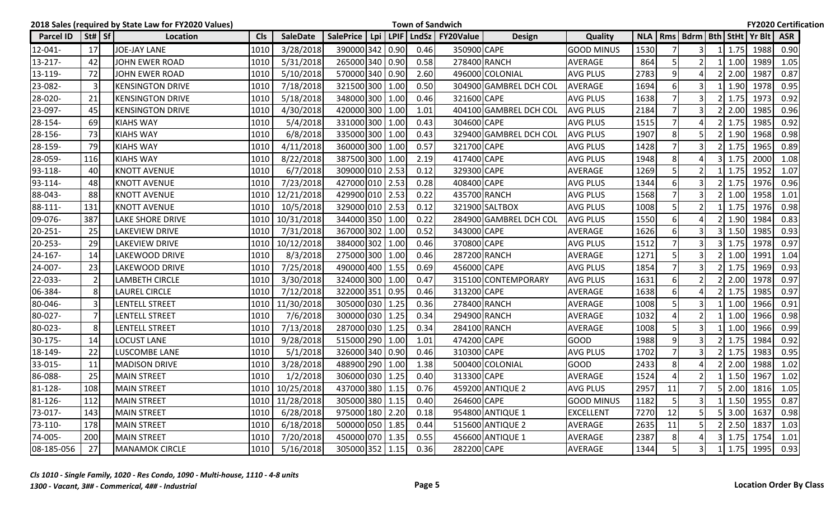|                  |                                | 2018 Sales (required by State Law for FY2020 Values) |            |                 |                 |  |      | <b>Town of Sandwich</b>                    |                        |                   |            |                |                |                    |                                  | <b>FY2020 Certification</b> |  |
|------------------|--------------------------------|------------------------------------------------------|------------|-----------------|-----------------|--|------|--------------------------------------------|------------------------|-------------------|------------|----------------|----------------|--------------------|----------------------------------|-----------------------------|--|
| <b>Parcel ID</b> | $\left  \text{St#} \right $ Sf | Location                                             | <b>CIs</b> | <b>SaleDate</b> |                 |  |      | SalePrice   Lpi   LPIF   LndSz   FY20Value | <b>Design</b>          | Quality           | <b>NLA</b> |                |                |                    | Rms   Bdrm   Bth   StHt   Yr Blt | <b>ASR</b>                  |  |
| 12-041-          | 17                             | JOE-JAY LANE                                         | 1010       | 3/28/2018       | 390000 342 0.90 |  | 0.46 | 350900 CAPE                                |                        | <b>GOOD MINUS</b> | 1530       |                | 3              | 1.75               | 1988                             | 0.90                        |  |
| 13-217-          | 42                             | <b>JOHN EWER ROAD</b>                                | 1010       | 5/31/2018       | 265000 340 0.90 |  | 0.58 |                                            | 278400 RANCH           | <b>AVERAGE</b>    | 864        | 5              | $\overline{2}$ | 1.00               | 1989                             | 1.05                        |  |
| 13-119-          | 72                             | <b>JOHN EWER ROAD</b>                                | 1010       | 5/10/2018       | 570000 340 0.90 |  | 2.60 |                                            | 496000 COLONIAL        | <b>AVG PLUS</b>   | 2783       | 9              |                | 2.00               | 1987                             | 0.87                        |  |
| 23-082-          | $\overline{3}$                 | <b>KENSINGTON DRIVE</b>                              | 1010       | 7/18/2018       | 321500 300 1.00 |  | 0.50 |                                            | 304900 GAMBREL DCH COL | <b>AVERAGE</b>    | 1694       | 6              |                | 1.90               | 1978                             | 0.95                        |  |
| 28-020-          | 21                             | <b>KENSINGTON DRIVE</b>                              | 1010       | 5/18/2018       | 348000 300 1.00 |  | 0.46 | 321600 CAPE                                |                        | <b>AVG PLUS</b>   | 1638       |                | 3              | 1.75               | 1973                             | 0.92                        |  |
| 23-097-          | 45                             | <b>KENSINGTON DRIVE</b>                              | 1010       | 4/30/2018       | 420000 300 1.00 |  | 1.01 |                                            | 404100 GAMBREL DCH COL | <b>AVG PLUS</b>   | 2184       | $\overline{7}$ | 3              | 2.00               | 1985                             | 0.96                        |  |
| 28-154-          | 69                             | <b>KIAHS WAY</b>                                     | 1010       | 5/4/2018        | 331000 300 1.00 |  | 0.43 | 304600 CAPE                                |                        | <b>AVG PLUS</b>   | 1515       |                |                | 1.75               | 1985                             | 0.92                        |  |
| 28-156-          | 73                             | <b>KIAHS WAY</b>                                     | 1010       | 6/8/2018        | 335000 300 1.00 |  | 0.43 |                                            | 329400 GAMBREL DCH COL | <b>AVG PLUS</b>   | 1907       | 8              |                | 1.90               | 1968                             | 0.98                        |  |
| 28-159-          | 79                             | <b>KIAHS WAY</b>                                     | 1010       | 4/11/2018       | 360000 300 1.00 |  | 0.57 | 321700 CAPE                                |                        | <b>AVG PLUS</b>   | 1428       | $\overline{7}$ | $\overline{3}$ | 1.75               | 1965                             | 0.89                        |  |
| 28-059-          | 116                            | <b>KIAHS WAY</b>                                     | 1010       | 8/22/2018       | 387500 300 1.00 |  | 2.19 | 417400 CAPE                                |                        | <b>AVG PLUS</b>   | 1948       | 8              |                | 1.75               | 2000                             | 1.08                        |  |
| 93-118-          | 40                             | <b>KNOTT AVENUE</b>                                  | 1010       | 6/7/2018        | 309000 010 2.53 |  | 0.12 | 329300 CAPE                                |                        | <b>AVERAGE</b>    | 1269       | 5              |                | 1.75               | 1952                             | 1.07                        |  |
| 93-114-          | 48                             | <b>KNOTT AVENUE</b>                                  | 1010       | 7/23/2018       | 427000 010 2.53 |  | 0.28 | 408400 CAPE                                |                        | <b>AVG PLUS</b>   | 1344       | 6              |                | 1.75               | 1976                             | 0.96                        |  |
| 88-043-          | 88                             | <b>KNOTT AVENUE</b>                                  | 1010       | 12/21/2018      | 429900 010 2.53 |  | 0.22 |                                            | 435700 RANCH           | <b>AVG PLUS</b>   | 1568       |                |                | 1.00               | 1958                             | 1.01                        |  |
| 88-111-          | 131                            | <b>KNOTT AVENUE</b>                                  | 1010       | 10/5/2018       | 329000 010 2.53 |  | 0.12 |                                            | 321900 SALTBOX         | <b>AVG PLUS</b>   | 1008       | 5              | 2              | 1.75               | 1976                             | 0.98                        |  |
| 09-076-          | 387                            | <b>LAKE SHORE DRIVE</b>                              | 1010       | 10/31/2018      | 344000 350 1.00 |  | 0.22 |                                            | 284900 GAMBREL DCH COL | <b>AVG PLUS</b>   | 1550       | 6              |                | 1.90               | 1984                             | 0.83                        |  |
| $20 - 251 -$     | 25                             | <b>LAKEVIEW DRIVE</b>                                | 1010       | 7/31/2018       | 367000 302 1.00 |  | 0.52 | 343000 CAPE                                |                        | <b>AVERAGE</b>    | 1626       | 6              |                | 1.50               | 1985                             | 0.93                        |  |
| 20-253-          | 29                             | <b>LAKEVIEW DRIVE</b>                                | 1010       | 10/12/2018      | 384000 302 1.00 |  | 0.46 | 370800 CAPE                                |                        | <b>AVG PLUS</b>   | 1512       |                | 3              | 1.75               | 1978                             | 0.97                        |  |
| 24-167-          | 14                             | <b>LAKEWOOD DRIVE</b>                                | 1010       | 8/3/2018        | 275000 300 1.00 |  | 0.46 |                                            | 287200 RANCH           | <b>AVERAGE</b>    | 1271       | 5              | 3              | 1.00               | 1991                             | 1.04                        |  |
| 24-007-          | 23                             | LAKEWOOD DRIVE                                       | 1010       | 7/25/2018       | 490000 400 1.55 |  | 0.69 | 456000 CAPE                                |                        | <b>AVG PLUS</b>   | 1854       |                |                | 1.75               | 1969                             | 0.93                        |  |
| 22-033-          | $\overline{2}$                 | <b>LAMBETH CIRCLE</b>                                | 1010       | 3/30/2018       | 324000 300 1.00 |  | 0.47 |                                            | 315100 CONTEMPORARY    | <b>AVG PLUS</b>   | 1631       | 6              |                | 2.00               | 1978                             | 0.97                        |  |
| 06-384-          | 8                              | <b>LAUREL CIRCLE</b>                                 | 1010       | 7/12/2018       | 322000 351 0.95 |  | 0.46 | 313200 CAPE                                |                        | <b>AVERAGE</b>    | 1638       | 6              |                | 1.75               | 1985                             | 0.97                        |  |
| 80-046-          | 3                              | <b>LENTELL STREET</b>                                | 1010       | 11/30/2018      | 305000 030 1.25 |  | 0.36 |                                            | 278400 RANCH           | <b>AVERAGE</b>    | 1008       | 5              | 3              | 1.00               | 1966                             | 0.91                        |  |
| 80-027-          | $\overline{7}$                 | <b>LENTELL STREET</b>                                | 1010       | 7/6/2018        | 300000 030 1.25 |  | 0.34 |                                            | 294900 RANCH           | <b>AVERAGE</b>    | 1032       | $\overline{4}$ |                | 1.00               | 1966                             | 0.98                        |  |
| 80-023-          | 8                              | LENTELL STREET                                       | 1010       | 7/13/2018       | 287000 030 1.25 |  | 0.34 |                                            | 284100 RANCH           | <b>AVERAGE</b>    | 1008       | 5              | 3              | 1.00               | 1966                             | 0.99                        |  |
| 30-175-          | 14                             | <b>LOCUST LANE</b>                                   | 1010       | 9/28/2018       | 515000 290 1.00 |  | 1.01 | 474200 CAPE                                |                        | <b>GOOD</b>       | 1988       | 9              | 3              | 1.75               | 1984                             | 0.92                        |  |
| 18-149-          | 22                             | <b>LUSCOMBE LANE</b>                                 | 1010       | 5/1/2018        | 326000 340 0.90 |  | 0.46 | 310300 CAPE                                |                        | <b>AVG PLUS</b>   | 1702       | $\overline{7}$ |                | 1.75               | 1983                             | 0.95                        |  |
| 33-015-          | 11                             | <b>MADISON DRIVE</b>                                 | 1010       | 3/28/2018       | 488900 290 1.00 |  | 1.38 |                                            | 500400 COLONIAL        | <b>GOOD</b>       | 2433       | 8              | Δ              | 2.00               | 1988                             | 1.02                        |  |
| 86-088-          | 25                             | <b>MAIN STREET</b>                                   | 1010       | 1/2/2018        | 306000 030 1.25 |  | 0.40 | 313300 CAPE                                |                        | <b>AVERAGE</b>    | 1524       | 4              |                | 1.50               | 1967                             | 1.02                        |  |
| 81-128-          | 108                            | <b>MAIN STREET</b>                                   |            | 1010 10/25/2018 | 437000 380 1.15 |  | 0.76 |                                            | 459200 ANTIQUE 2       | AVG PLUS          | 2957       | 11             | 71             | $5 \mid 2.00 \mid$ | 1816                             | 1.05                        |  |
| 81-126-          | 112                            | <b>MAIN STREET</b>                                   |            | 1010 11/28/2018 | 305000 380 1.15 |  | 0.40 | 264600 CAPE                                |                        | <b>GOOD MINUS</b> | 1182       | 5              | 3 <sup>1</sup> |                    | 1 1.50 1955                      | 0.87                        |  |
| 73-017-          | 143                            | <b>MAIN STREET</b>                                   | 1010       | 6/28/2018       | 975000 180 2.20 |  | 0.18 |                                            | 954800 ANTIQUE 1       | <b>EXCELLENT</b>  | 7270       | 12             |                | 3.00               | 1637                             | 0.98                        |  |
| 73-110-          | 178                            | <b>MAIN STREET</b>                                   | 1010       | 6/18/2018       | 500000 050 1.85 |  | 0.44 |                                            | 515600 ANTIQUE 2       | <b>AVERAGE</b>    | 2635       | 11             |                | $2$   2.50         | 1837                             | 1.03                        |  |
| 74-005-          | 200                            | <b>MAIN STREET</b>                                   | 1010       | 7/20/2018       | 450000 070 1.35 |  | 0.55 |                                            | 456600 ANTIQUE 1       | AVERAGE           | 2387       | 8              |                | $3 \mid 1.75$      | 1754                             | 1.01                        |  |
| 08-185-056       | 27                             | MANAMOK CIRCLE                                       | 1010       | 5/16/2018       | 305000 352 1.15 |  | 0.36 | 282200 CAPE                                |                        | AVERAGE           | 1344       | 5              | 3              |                    | 1 1.75 1995                      | 0.93                        |  |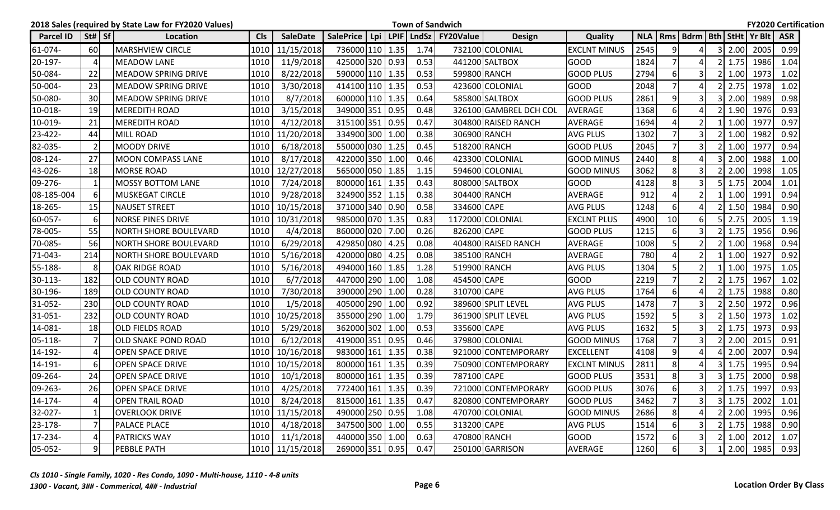|               |                                | 2018 Sales (required by State Law for FY2020 Values) |            |                 |                  |  |      | <b>Town of Sandwich</b>        |                        |                     |      |                |                         |   |               |                                        | <b>FY2020 Certification</b> |  |
|---------------|--------------------------------|------------------------------------------------------|------------|-----------------|------------------|--|------|--------------------------------|------------------------|---------------------|------|----------------|-------------------------|---|---------------|----------------------------------------|-----------------------------|--|
| Parcel ID     | $\vert$ St# $\vert$ Sf $\vert$ | Location                                             | <b>CIs</b> | <b>SaleDate</b> | <b>SalePrice</b> |  |      | Lpi   LPIF   LndSz   FY20Value | <b>Design</b>          | <b>Quality</b>      |      |                |                         |   |               | NLA   Rms   Bdrm   Bth   StHt   Yr Blt | <b>ASR</b>                  |  |
| 61-074-       | 60                             | MARSHVIEW CIRCLE                                     | 1010       | 11/15/2018      | 736000 110 1.35  |  | 1.74 |                                | 732100 COLONIAL        | <b>EXCLNT MINUS</b> | 2545 | 9              |                         | 3 | 2.00          | 2005                                   | 0.99                        |  |
| 20-197-       | $\overline{4}$                 | <b>MEADOW LANE</b>                                   | 1010       | 11/9/2018       | 425000 320 0.93  |  | 0.53 |                                | 441200 SALTBOX         | <b>GOOD</b>         | 1824 | $\overline{7}$ |                         |   | 1.75          | 1986                                   | 1.04                        |  |
| 50-084-       | 22                             | <b>MEADOW SPRING DRIVE</b>                           | 1010       | 8/22/2018       | 590000 110 1.35  |  | 0.53 |                                | 599800 RANCH           | <b>GOOD PLUS</b>    | 2794 | 6              |                         |   | 1.00          | 1973                                   | 1.02                        |  |
| 50-004-       | 23                             | <b>MEADOW SPRING DRIVE</b>                           | 1010       | 3/30/2018       | 414100 110 1.35  |  | 0.53 |                                | 423600 COLONIAL        | <b>GOOD</b>         | 2048 | $\overline{7}$ |                         |   | 2.75          | 1978                                   | 1.02                        |  |
| 50-080-       | 30                             | <b>MEADOW SPRING DRIVE</b>                           | 1010       | 8/7/2018        | 600000 110 1.35  |  | 0.64 |                                | 585800 SALTBOX         | <b>GOOD PLUS</b>    | 2861 | 9              | 3                       |   | 2.00          | 1989                                   | 0.98                        |  |
| 10-018-       | 19                             | MEREDITH ROAD                                        | 1010       | 3/15/2018       | 349000 351 0.95  |  | 0.48 |                                | 326100 GAMBREL DCH COL | <b>AVERAGE</b>      | 1368 | 6              |                         |   | 1.90          | 1976                                   | 0.93                        |  |
| 10-019-       | 21                             | <b>MEREDITH ROAD</b>                                 | 1010       | 4/12/2018       | 315100 351 0.95  |  | 0.47 |                                | 304800 RAISED RANCH    | <b>AVERAGE</b>      | 1694 | $\Delta$       |                         |   | 1.00          | 1977                                   | 0.97                        |  |
| 23-422-       | 44                             | <b>MILL ROAD</b>                                     | 1010       | 11/20/2018      | 334900 300 1.00  |  | 0.38 |                                | 306900 RANCH           | <b>AVG PLUS</b>     | 1302 | $\overline{7}$ | 3                       |   | 1.00          | 1982                                   | 0.92                        |  |
| 82-035-       | $\overline{2}$                 | <b>MOODY DRIVE</b>                                   | 1010       | 6/18/2018       | 550000 030 1.25  |  | 0.45 |                                | 518200 RANCH           | <b>GOOD PLUS</b>    | 2045 | $\overline{7}$ | 3                       |   | 1.00          | 1977                                   | 0.94                        |  |
| 08-124-       | 27                             | <b>MOON COMPASS LANE</b>                             | 1010       | 8/17/2018       | 422000 350 1.00  |  | 0.46 |                                | 423300 COLONIAL        | GOOD MINUS          | 2440 | 8              |                         |   | 2.00          | 1988                                   | 1.00                        |  |
| 43-026-       | 18                             | <b>MORSE ROAD</b>                                    |            | 1010 12/27/2018 | 565000 050 1.85  |  | 1.15 |                                | 594600 COLONIAL        | <b>GOOD MINUS</b>   | 3062 | 8              | 3                       |   | 2.00          | 1998                                   | 1.05                        |  |
| 09-276-       | $\mathbf{1}$                   | <b>MOSSY BOTTOM LANE</b>                             | 1010       | 7/24/2018       | 800000 161 1.35  |  | 0.43 |                                | 808000 SALTBOX         | GOOD                | 4128 | 8              |                         |   | 1.75          | 2004                                   | 1.01                        |  |
| 08-185-004    | $6 \mid$                       | MUSKEGAT CIRCLE                                      | 1010       | 9/28/2018       | 324900 352 1.15  |  | 0.38 |                                | 304400 RANCH           | <b>AVERAGE</b>      | 912  | $\overline{4}$ |                         |   | 1.00          | 1991                                   | 0.94                        |  |
| 18-265-       | 15                             | <b>NAUSET STREET</b>                                 | 1010       | 10/15/2018      | 371000 340 0.90  |  | 0.58 | 334600 CAPE                    |                        | <b>AVG PLUS</b>     | 1248 | 6              |                         |   | 1.50          | 1984                                   | 0.90                        |  |
| 60-057-       | 6                              | <b>NORSE PINES DRIVE</b>                             |            | 1010 10/31/2018 | 985000 070 1.35  |  | 0.83 |                                | 1172000 COLONIAL       | <b>EXCLNT PLUS</b>  | 4900 | 10             | 6                       |   | 2.75          | 2005                                   | 1.19                        |  |
| 78-005-       | 55                             | <b>NORTH SHORE BOULEVARD</b>                         | 1010       | 4/4/2018        | 860000 020 7.00  |  | 0.26 | 826200 CAPE                    |                        | <b>GOOD PLUS</b>    | 1215 | 6              | 3                       |   | 1.75          | 1956                                   | 0.96                        |  |
| 70-085-       | 56                             | <b>NORTH SHORE BOULEVARD</b>                         | 1010       | 6/29/2018       | 429850 080 4.25  |  | 0.08 |                                | 404800 RAISED RANCH    | AVERAGE             | 1008 | 5              |                         |   | 1.00          | 1968                                   | 0.94                        |  |
| 71-043-       | 214                            | <b>NORTH SHORE BOULEVARD</b>                         | 1010       | 5/16/2018       | 420000 080 4.25  |  | 0.08 |                                | 385100 RANCH           | AVERAGE             | 780  | $\overline{4}$ | $\mathfrak{p}$          |   | 1.00          | 1927                                   | 0.92                        |  |
| 55-188-       | 8                              | OAK RIDGE ROAD                                       | 1010       | 5/16/2018       | 494000 160 1.85  |  | 1.28 |                                | 519900 RANCH           | <b>AVG PLUS</b>     | 1304 | 5              |                         |   | 1.00          | 1975                                   | 1.05                        |  |
| 30-113-       | 182                            | <b>OLD COUNTY ROAD</b>                               | 1010       | 6/7/2018        | 447000 290 1.00  |  | 1.08 | 454500 CAPE                    |                        | GOOD                | 2219 | $\overline{7}$ | $\mathfrak{p}$          |   | 1.75          | 1967                                   | 1.02                        |  |
| 30-196-       | 189                            | <b>OLD COUNTY ROAD</b>                               | 1010       | 7/30/2018       | 390000 290 1.00  |  | 0.28 | 310700 CAPE                    |                        | <b>AVG PLUS</b>     | 1764 | 6              |                         |   | 1.75          | 1988                                   | 0.80                        |  |
| 31-052-       | 230                            | <b>OLD COUNTY ROAD</b>                               | 1010       | 1/5/2018        | 405000 290 1.00  |  | 0.92 |                                | 389600 SPLIT LEVEL     | <b>AVG PLUS</b>     | 1478 | $\overline{7}$ | 3                       |   | 2.50          | 1972                                   | 0.96                        |  |
| 31-051-       | 232                            | <b>OLD COUNTY ROAD</b>                               | 1010       | 10/25/2018      | 355000 290 1.00  |  | 1.79 |                                | 361900 SPLIT LEVEL     | <b>AVG PLUS</b>     | 1592 | 5              | 3                       |   | 1.50          | 1973                                   | 1.02                        |  |
| 14-081-       | 18                             | <b>OLD FIELDS ROAD</b>                               | 1010       | 5/29/2018       | 362000 302 1.00  |  | 0.53 | 335600 CAPE                    |                        | <b>AVG PLUS</b>     | 1632 | 5              | 3                       |   | 1.75          | 1973                                   | 0.93                        |  |
| $ 05 - 118 -$ | $\overline{7}$                 | <b>OLD SNAKE POND ROAD</b>                           | 1010       | 6/12/2018       | 419000 351 0.95  |  | 0.46 |                                | 379800 COLONIAL        | <b>GOOD MINUS</b>   | 1768 | $\overline{7}$ | 3                       |   | 2.00          | 2015                                   | 0.91                        |  |
| 14-192-       | $\overline{4}$                 | <b>OPEN SPACE DRIVE</b>                              | 1010       | 10/16/2018      | 983000 161 1.35  |  | 0.38 |                                | 921000 CONTEMPORARY    | <b>EXCELLENT</b>    | 4108 | 9              |                         |   | 2.00          | 2007                                   | 0.94                        |  |
| $14 - 191 -$  | 6                              | <b>OPEN SPACE DRIVE</b>                              | 1010       | 10/15/2018      | 800000 161 1.35  |  | 0.39 |                                | 750900 CONTEMPORARY    | <b>EXCLNT MINUS</b> | 2811 | 8              |                         | 3 | 1.75          | 1995                                   | 0.94                        |  |
| 09-264-       | 24                             | <b>OPEN SPACE DRIVE</b>                              | 1010       | 10/1/2018       | 800000 161 1.35  |  | 0.39 | 787100 CAPE                    |                        | <b>GOOD PLUS</b>    | 3531 | 8              |                         |   | 1.75          | 2000                                   | 0.98                        |  |
| 09-263-       | 26                             | <b>OPEN SPACE DRIVE</b>                              | 1010       | 4/25/2018       | 772400 161 1.35  |  | 0.39 |                                | 721000 CONTEMPORARY    | <b>GOOD PLUS</b>    | 3076 | 6              | 3                       |   | 2 1.75        | 1997                                   | 0.93                        |  |
| 14-174-       | $\overline{4}$                 | <b>OPEN TRAIL ROAD</b>                               | 1010       | 8/24/2018       | 815000 161 1.35  |  | 0.47 |                                | 820800 CONTEMPORARY    | <b>GOOD PLUS</b>    | 3462 | $\overline{7}$ | $\overline{\mathsf{3}}$ |   | $3 \mid 1.75$ | 2002                                   | 1.01                        |  |
| 32-027-       | $\mathbf{1}$                   | <b>OVERLOOK DRIVE</b>                                |            | 1010 11/15/2018 | 490000 250 0.95  |  | 1.08 |                                | 470700 COLONIAL        | <b>GOOD MINUS</b>   | 2686 | 8              |                         |   | 2.00          | 1995                                   | 0.96                        |  |
| 23-178-       | $\overline{7}$                 | <b>PALACE PLACE</b>                                  | 1010       | 4/18/2018       | 347500 300 1.00  |  | 0.55 | 313200 CAPE                    |                        | <b>AVG PLUS</b>     | 1514 | 6              |                         |   | $2 \mid 1.75$ | 1988                                   | 0.90                        |  |
| 17-234-       | $\overline{a}$                 | <b>PATRICKS WAY</b>                                  |            | 1010 11/1/2018  | 440000 350 1.00  |  | 0.63 |                                | 470800 RANCH           | <b>GOOD</b>         | 1572 | 6              | 3                       |   | 1.00          | 2012                                   | 1.07                        |  |
| 05-052-       | 9                              | <b>PEBBLE PATH</b>                                   |            | 1010 11/15/2018 | 269000 351 0.95  |  | 0.47 |                                | 250100 GARRISON        | AVERAGE             | 1260 | $6 \mid$       | 3 <sup>1</sup>          |   |               | 1 2.00 1985                            | 0.93                        |  |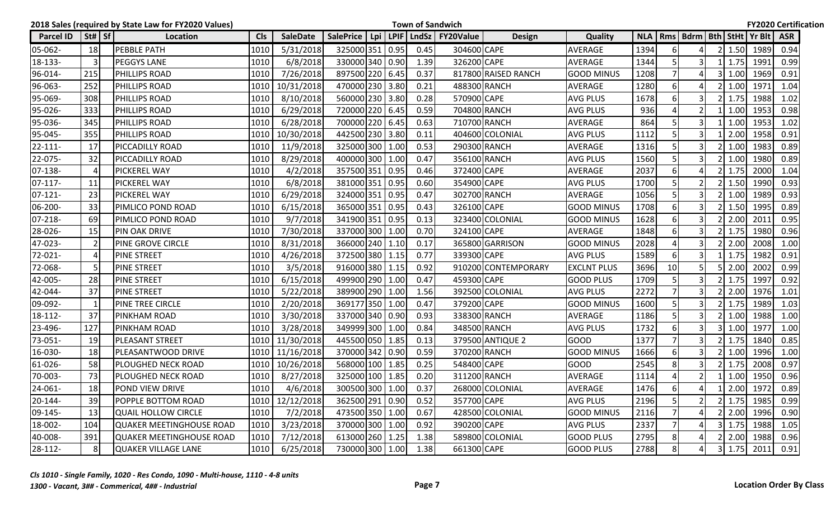|                  |                                | 2018 Sales (required by State Law for FY2020 Values) |            |                 |                 |  |      | <b>Town of Sandwich</b>                    |                     |                    |            |                |                |                       |                                  | <b>FY2020 Certification</b> |  |
|------------------|--------------------------------|------------------------------------------------------|------------|-----------------|-----------------|--|------|--------------------------------------------|---------------------|--------------------|------------|----------------|----------------|-----------------------|----------------------------------|-----------------------------|--|
| <b>Parcel ID</b> | $\vert$ St# $\vert$ Sf $\vert$ | Location                                             | <b>CIs</b> | <b>SaleDate</b> |                 |  |      | SalePrice   Lpi   LPIF   LndSz   FY20Value | <b>Design</b>       | Quality            | <b>NLA</b> |                |                |                       | Rms   Bdrm   Bth   StHt   Yr Blt | <b>ASR</b>                  |  |
| 05-062-          | 18                             | <b>PEBBLE PATH</b>                                   | 1010       | 5/31/2018       | 325000 351 0.95 |  | 0.45 | 304600 CAPE                                |                     | <b>AVERAGE</b>     | 1394       | 6              |                | 1.50                  | 1989                             | 0.94                        |  |
| 18-133-          | $\overline{3}$                 | <b>PEGGYS LANE</b>                                   | 1010       | 6/8/2018        | 330000 340 0.90 |  | 1.39 | 326200 CAPE                                |                     | <b>AVERAGE</b>     | 1344       | 5              | 3              | 1.75                  | 1991                             | 0.99                        |  |
| 96-014-          | 215                            | <b>PHILLIPS ROAD</b>                                 | 1010       | 7/26/2018       | 897500 220 6.45 |  | 0.37 |                                            | 817800 RAISED RANCH | <b>GOOD MINUS</b>  | 1208       |                |                | 1.00                  | 1969                             | 0.91                        |  |
| 96-063-          | 252                            | <b>PHILLIPS ROAD</b>                                 | 1010       | 10/31/2018      | 470000 230 3.80 |  | 0.21 |                                            | 488300 RANCH        | <b>AVERAGE</b>     | 1280       | 6              |                | 1.00                  | 1971                             | 1.04                        |  |
| 95-069-          | 308                            | <b>PHILLIPS ROAD</b>                                 | 1010       | 8/10/2018       | 560000 230 3.80 |  | 0.28 | 570900 CAPE                                |                     | <b>AVG PLUS</b>    | 1678       | 6              | 3              | 1.75                  | 1988                             | 1.02                        |  |
| 95-026-          | 333                            | <b>PHILLIPS ROAD</b>                                 | 1010       | 6/29/2018       | 720000 220 6.45 |  | 0.59 |                                            | 704800 RANCH        | <b>AVG PLUS</b>    | 936        | $\overline{4}$ | $\overline{2}$ | 1.00                  | 1953                             | 0.98                        |  |
| 95-036-          | 345                            | <b>PHILLIPS ROAD</b>                                 | 1010       | 6/28/2018       | 700000 220 6.45 |  | 0.63 |                                            | 710700 RANCH        | <b>AVERAGE</b>     | 864        |                |                | 1.00                  | 1953                             | 1.02                        |  |
| 95-045-          | 355                            | <b>PHILLIPS ROAD</b>                                 | 1010       | 10/30/2018      | 442500 230 3.80 |  | 0.11 |                                            | 404600 COLONIAL     | <b>AVG PLUS</b>    | 1112       | 5              | 3              | 2.00                  | 1958                             | 0.91                        |  |
| $22 - 111 -$     | 17                             | <b>PICCADILLY ROAD</b>                               | 1010       | 11/9/2018       | 325000 300 1.00 |  | 0.53 |                                            | 290300 RANCH        | <b>AVERAGE</b>     | 1316       | 5              | $\overline{3}$ | 1.00                  | 1983                             | 0.89                        |  |
| 22-075-          | 32                             | <b>PICCADILLY ROAD</b>                               | 1010       | 8/29/2018       | 400000 300 1.00 |  | 0.47 |                                            | 356100 RANCH        | <b>AVG PLUS</b>    | 1560       | 5              |                | 1.00                  | 1980                             | 0.89                        |  |
| 07-138-          | 4                              | <b>PICKEREL WAY</b>                                  | 1010       | 4/2/2018        | 357500 351 0.95 |  | 0.46 | 372400 CAPE                                |                     | <b>AVERAGE</b>     | 2037       | 6              |                | 1.75                  | 2000                             | 1.04                        |  |
| $07-117-$        | 11                             | <b>PICKEREL WAY</b>                                  | 1010       | 6/8/2018        | 381000 351 0.95 |  | 0.60 | 354900 CAPE                                |                     | <b>AVG PLUS</b>    | 1700       | 5              |                | 1.50                  | 1990                             | 0.93                        |  |
| $07-121-$        | 23                             | <b>PICKEREL WAY</b>                                  | 1010       | 6/29/2018       | 324000 351 0.95 |  | 0.47 |                                            | 302700 RANCH        | <b>AVERAGE</b>     | 1056       | 5              |                | 1.00                  | 1989                             | 0.93                        |  |
| 06-200-          | 33                             | <b>PIMLICO POND ROAD</b>                             | 1010       | 6/15/2018       | 365000 351 0.95 |  | 0.43 | 326100 CAPE                                |                     | <b>GOOD MINUS</b>  | 1708       | 6              | 3              | 1.50                  | 1995                             | 0.89                        |  |
| 07-218-          | 69                             | <b>PIMLICO POND ROAD</b>                             | 1010       | 9/7/2018        | 341900 351 0.95 |  | 0.13 |                                            | 323400 COLONIAL     | <b>GOOD MINUS</b>  | 1628       | 6              | $\overline{3}$ | 2.00                  | 2011                             | 0.95                        |  |
| 28-026-          | 15                             | <b>PIN OAK DRIVE</b>                                 | 1010       | 7/30/2018       | 337000 300 1.00 |  | 0.70 | 324100 CAPE                                |                     | <b>AVERAGE</b>     | 1848       | 6              |                | 1.75                  | 1980                             | 0.96                        |  |
| 47-023-          | $\overline{2}$                 | <b>PINE GROVE CIRCLE</b>                             | 1010       | 8/31/2018       | 366000 240 1.10 |  | 0.17 |                                            | 365800 GARRISON     | <b>GOOD MINUS</b>  | 2028       |                | 3              | 2.00                  | 2008                             | 1.00                        |  |
| 72-021-          | 4                              | <b>PINE STREET</b>                                   | 1010       | 4/26/2018       | 372500 380 1.15 |  | 0.77 | 339300 CAPE                                |                     | <b>AVG PLUS</b>    | 1589       | 6              | 3              | 1.75                  | 1982                             | 0.91                        |  |
| 72-068-          | -5                             | <b>PINE STREET</b>                                   | 1010       | 3/5/2018        | 916000 380 1.15 |  | 0.92 |                                            | 910200 CONTEMPORARY | <b>EXCLNT PLUS</b> | 3696       | 10             |                | 2.00                  | 2002                             | 0.99                        |  |
| 42-005-          | 28                             | <b>PINE STREET</b>                                   | 1010       | 6/15/2018       | 499900 290 1.00 |  | 0.47 | 459300 CAPE                                |                     | <b>GOOD PLUS</b>   | 1709       | 5              | 3              | 1.75                  | 1997                             | 0.92                        |  |
| 42-044-          | 37                             | <b>PINE STREET</b>                                   | 1010       | 5/22/2018       | 389900 290 1.00 |  | 1.56 |                                            | 392500 COLONIAL     | <b>AVG PLUS</b>    | 2272       | $\overline{7}$ | $\overline{3}$ | 2.00                  | 1976                             | 1.01                        |  |
| 09-092-          | 1                              | <b>PINE TREE CIRCLE</b>                              | 1010       | 2/20/2018       | 369177 350 1.00 |  | 0.47 | 379200 CAPE                                |                     | <b>GOOD MINUS</b>  | 1600       | 5              | 3              | 1.75                  | 1989                             | 1.03                        |  |
| 18-112-          | 37                             | <b>PINKHAM ROAD</b>                                  | 1010       | 3/30/2018       | 337000 340 0.90 |  | 0.93 |                                            | 338300 RANCH        | <b>AVERAGE</b>     | 1186       | 5              | 3              | 1.00                  | 1988                             | 1.00                        |  |
| 23-496-          | 127                            | <b>PINKHAM ROAD</b>                                  | 1010       | 3/28/2018       | 349999 300 1.00 |  | 0.84 |                                            | 348500 RANCH        | <b>AVG PLUS</b>    | 1732       | 6              |                | 1.00                  | 1977                             | 1.00                        |  |
| 73-051-          | 19                             | <b>PLEASANT STREET</b>                               | 1010       | 11/30/2018      | 445500 050 1.85 |  | 0.13 |                                            | 379500 ANTIQUE 2    | <b>GOOD</b>        | 1377       |                | 3              | 1.75                  | 1840                             | 0.85                        |  |
| 16-030-          | 18                             | <b>PLEASANTWOOD DRIVE</b>                            | 1010       | 11/16/2018      | 370000 342 0.90 |  | 0.59 |                                            | 370200 RANCH        | <b>GOOD MINUS</b>  | 1666       | 6              |                | 1.00                  | 1996                             | 1.00                        |  |
| 61-026-          | 58                             | <b>PLOUGHED NECK ROAD</b>                            | 1010       | 10/26/2018      | 568000 100 1.85 |  | 0.25 | 548400 CAPE                                |                     | <b>GOOD</b>        | 2545       | 8              | 3              | 1.75                  | 2008                             | 0.97                        |  |
| 70-003-          | 73                             | <b>PLOUGHED NECK ROAD</b>                            | 1010       | 8/27/2018       | 325000 100 1.85 |  | 0.20 |                                            | 311200 RANCH        | <b>AVERAGE</b>     | 1114       | $\Delta$       |                | 1.00                  | 1950                             | 0.96                        |  |
| 24-061-          | 18                             | POND VIEW DRIVE                                      | 1010       | 4/6/2018        | 300500 300 1.00 |  | 0.37 |                                            | 268000 COLONIAL     | AVERAGE            | 1476       | $6 \mid$       | 41             | $1 \,   \, 2.00 \,  $ | 1972                             | 0.89                        |  |
| 20-144-          | 39                             | <b>POPPLE BOTTOM ROAD</b>                            |            | 1010 12/12/2018 | 362500 291 0.90 |  | 0.52 | 357700 CAPE                                |                     | <b>AVG PLUS</b>    | 2196       | 5              | $\overline{2}$ | $2 \mid 1.75$         | 1985                             | 0.99                        |  |
| 09-145-          | 13                             | <b>QUAIL HOLLOW CIRCLE</b>                           | 1010       | 7/2/2018        | 473500 350 1.00 |  | 0.67 |                                            | 428500 COLONIAL     | <b>GOOD MINUS</b>  | 2116       |                |                | 2.00                  | 1996                             | 0.90                        |  |
| 18-002-          | 104                            | QUAKER MEETINGHOUSE ROAD                             | 1010       | 3/23/2018       | 370000 300 1.00 |  | 0.92 | 390200 CAPE                                |                     | <b>AVG PLUS</b>    | 2337       |                |                | $3 \mid 1.75$         | 1988                             | 1.05                        |  |
| 40-008-          | 391                            | QUAKER MEETINGHOUSE ROAD                             | 1010       | 7/12/2018       | 613000 260 1.25 |  | 1.38 |                                            | 589800 COLONIAL     | <b>GOOD PLUS</b>   | 2795       | 8              |                | 2.00                  | 1988                             | 0.96                        |  |
| 28-112-          | 8                              | QUAKER VILLAGE LANE                                  | 1010       | 6/25/2018       | 730000 300 1.00 |  | 1.38 | 661300 CAPE                                |                     | <b>GOOD PLUS</b>   | 2788       | 8 <sup>1</sup> |                | $3 \mid 1.75$         | 2011                             | 0.91                        |  |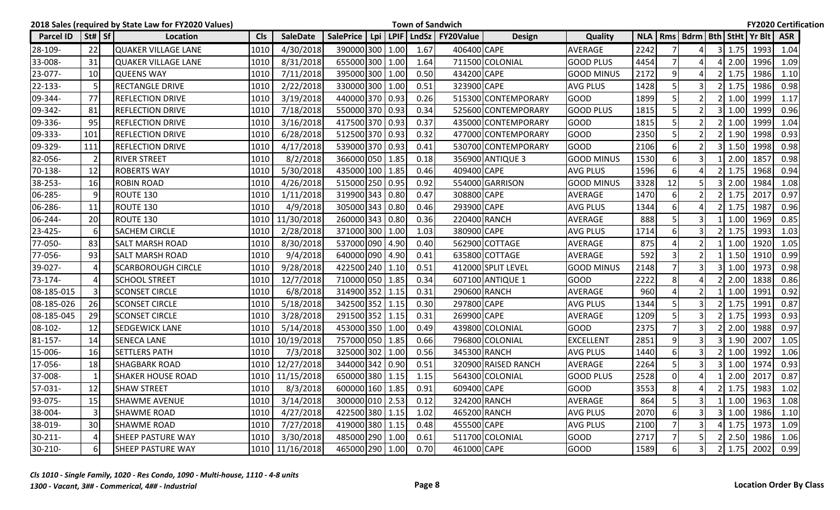|                  |              | 2018 Sales (required by State Law for FY2020 Values) |            |                 |                 |  |      | <b>Town of Sandwich</b>                    |                     |                   |            |                |                                  |    |               |      | <b>FY2020 Certification</b> |
|------------------|--------------|------------------------------------------------------|------------|-----------------|-----------------|--|------|--------------------------------------------|---------------------|-------------------|------------|----------------|----------------------------------|----|---------------|------|-----------------------------|
| <b>Parcel ID</b> | $St#$ Sf     | Location                                             | <b>Cls</b> | <b>SaleDate</b> |                 |  |      | SalePrice   Lpi   LPIF   LndSz   FY20Value | Design              | <b>Quality</b>    | <b>NLA</b> |                | Rms   Bdrm   Bth   StHt   Yr Blt |    |               |      | <b>ASR</b>                  |
| 28-109-          | 22           | <b>QUAKER VILLAGE LANE</b>                           | 1010       | 4/30/2018       | 390000 300 1.00 |  | 1.67 | 406400 CAPE                                |                     | <b>AVERAGE</b>    | 2242       | $\overline{7}$ | Δ                                |    | $3 \mid 1.75$ | 1993 | 1.04                        |
| 33-008-          | 31           | <b>QUAKER VILLAGE LANE</b>                           | 1010       | 8/31/2018       | 655000 300 1.00 |  | 1.64 |                                            | 711500 COLONIAL     | <b>GOOD PLUS</b>  | 4454       | $\overline{7}$ | Δ                                |    | 2.00          | 1996 | 1.09                        |
| 23-077-          | 10           | <b>QUEENS WAY</b>                                    | 1010       | 7/11/2018       | 395000 300 1.00 |  | 0.50 | 434200 CAPE                                |                     | <b>GOOD MINUS</b> | 2172       | 9              |                                  |    | 1.75          | 1986 | 1.10                        |
| 22-133-          | -5           | <b>RECTANGLE DRIVE</b>                               | 1010       | 2/22/2018       | 330000 300 1.00 |  | 0.51 | 323900 CAPE                                |                     | <b>AVG PLUS</b>   | 1428       | 5              | $\overline{3}$                   |    | $2 \mid 1.75$ | 1986 | 0.98                        |
| 09-344-          | 77           | <b>REFLECTION DRIVE</b>                              | 1010       | 3/19/2018       | 440000 370 0.93 |  | 0.26 |                                            | 515300 CONTEMPORARY | <b>GOOD</b>       | 1899       | 5              | $\mathcal{P}$                    |    | 1.00          | 1999 | 1.17                        |
| 09-342-          | 81           | <b>REFLECTION DRIVE</b>                              | 1010       | 7/18/2018       | 550000 370 0.93 |  | 0.34 |                                            | 525600ICONTEMPORARY | IGOOD PLUS        | 1815       | 5              | $\overline{2}$                   | 3I | 1.00          | 1999 | 0.96                        |
| 09-336-          | 95           | <b>REFLECTION DRIVE</b>                              | 1010       | 3/16/2018       | 417500 370 0.93 |  | 0.37 |                                            | 435000 CONTEMPORARY | <b>GOOD</b>       | 1815       | 5              |                                  |    | 1.00          | 1999 | 1.04                        |
| 09-333-          | 101          | <b>REFLECTION DRIVE</b>                              | 1010       | 6/28/2018       | 512500 370 0.93 |  | 0.32 |                                            | 477000 CONTEMPORARY | GOOD              | 2350       | .5             |                                  |    | 1.90          | 1998 | 0.93                        |
| 09-329-          | 111          | <b>REFLECTION DRIVE</b>                              | 1010       | 4/17/2018       | 539000 370 0.93 |  | 0.41 |                                            | 530700 CONTEMPORARY | <b>GOOD</b>       | 2106       | 6              |                                  |    | 1.50          | 1998 | 0.98                        |
| 82-056-          | -2           | <b>RIVER STREET</b>                                  | 1010       | 8/2/2018        | 366000 050 1.85 |  | 0.18 |                                            | 356900 ANTIQUE 3    | <b>GOOD MINUS</b> | 1530       | 6              | 3                                |    | 2.00          | 1857 | 0.98                        |
| 70-138-          | 12           | <b>ROBERTS WAY</b>                                   | 1010       | 5/30/2018       | 435000 100 1.85 |  | 0.46 | 409400 CAPE                                |                     | <b>AVG PLUS</b>   | 1596       | 6              | Δ                                |    | 1.75          | 1968 | 0.94                        |
| 38-253-          | 16           | ROBIN ROAD                                           | 1010       | 4/26/2018       | 515000 250 0.95 |  | 0.92 |                                            | 554000IGARRISON     | <b>GOOD MINUS</b> | 3328       | 12             | 5                                | 3  | 2.00          | 1984 | 1.08                        |
| 06-285-          | 9            | ROUTE 130                                            | 1010       | 1/11/2018       | 319900 343 0.80 |  | 0.47 | 308800 CAPE                                |                     | <b>AVERAGE</b>    | 1470       | 6              |                                  |    | 1.75          | 2017 | 0.97                        |
| 06-286-          | 11           | ROUTE 130                                            | 1010       | 4/9/2018        | 305000 343 0.80 |  | 0.46 | 293900 CAPE                                |                     | <b>AVG PLUS</b>   | 1344       | 6              |                                  |    | 1.75          | 1987 | 0.96                        |
| 06-244-          | 20           | <b>ROUTE 130</b>                                     | 1010       | 11/30/2018      | 260000 343 0.80 |  | 0.36 |                                            | 220400 RANCH        | <b>AVERAGE</b>    | 888        | 5              | 3                                |    | 1.00          | 1969 | 0.85                        |
| 23-425-          | 6            | <b>SACHEM CIRCLE</b>                                 | 1010       | 2/28/2018       | 371000 300 1.00 |  | 1.03 | 380900 CAPE                                |                     | <b>AVG PLUS</b>   | 1714       | 6              | 3                                |    | 1.75          | 1993 | 1.03                        |
| 77-050-          | 83           | <b>SALT MARSH ROAD</b>                               | 1010       | 8/30/2018       | 537000 090 4.90 |  | 0.40 |                                            | 562900 COTTAGE      | <b>AVERAGE</b>    | 875        | $\Delta$       | $\overline{\phantom{a}}$         |    | 1.00          | 1920 | 1.05                        |
| 77-056-          | 93           | <b>SALT MARSH ROAD</b>                               | 1010       | 9/4/2018        | 640000 090 4.90 |  | 0.41 |                                            | 635800 COTTAGE      | AVERAGE           | 592        | $\overline{3}$ | $\overline{2}$                   |    | 1.50          | 1910 | 0.99                        |
| 39-027-          | 4            | <b>SCARBOROUGH CIRCLE</b>                            | 1010       | 9/28/2018       | 422500 240 1.10 |  | 0.51 |                                            | 412000 SPLIT LEVEL  | <b>GOOD MINUS</b> | 2148       | $\overline{7}$ | $\overline{3}$                   |    | 1.00          | 1973 | 0.98                        |
| 73-174-          | Δ            | <b>SCHOOL STREET</b>                                 | 1010       | 12/7/2018       | 710000 050 1.85 |  | 0.34 |                                            | 607100 ANTIQUE 1    | <b>GOOD</b>       | 2222       | 8              |                                  |    | 2.00          | 1838 | 0.86                        |
| 08-185-015       | $\mathbf{3}$ | <b>SCONSET CIRCLE</b>                                | 1010       | 6/8/2018        | 314900 352 1.15 |  | 0.31 |                                            | 290600 RANCH        | <b>AVERAGE</b>    | 960        |                |                                  |    | 1.00          | 1991 | 0.92                        |
| 08-185-026       | 26           | <b>SCONSET CIRCLE</b>                                | 1010       | 5/18/2018       | 342500 352 1.15 |  | 0.30 | 297800 CAPE                                |                     | <b>AVG PLUS</b>   | 1344       | .5             | 3                                |    | 1.75          | 1991 | 0.87                        |
| 08-185-045       | 29           | <b>SCONSET CIRCLE</b>                                | 1010       | 3/28/2018       | 291500 352 1.15 |  | 0.31 | 269900 CAPE                                |                     | AVERAGE           | 1209       | 5              | 3                                |    | 1.75          | 1993 | 0.93                        |
| 08-102-          | 12           | SEDGEWICK LANE                                       | 1010       | 5/14/2018       | 453000 350 1.00 |  | 0.49 |                                            | 439800 COLONIAL     | <b>GOOD</b>       | 2375       | $\overline{7}$ | 3                                |    | 2.00          | 1988 | 0.97                        |
| 81-157-          | 14           | <b>SENECA LANE</b>                                   | 1010       | 10/19/2018      | 757000 050 1.85 |  | 0.66 |                                            | 796800 COLONIAL     | <b>EXCELLENT</b>  | 2851       | 9              | 3                                |    | 1.90          | 2007 | 1.05                        |
| 15-006-          | 16           | <b>SETTLERS PATH</b>                                 | 1010       | 7/3/2018        | 325000 302 1.00 |  | 0.56 |                                            | 345300 RANCH        | <b>AVG PLUS</b>   | 1440       | 6              | 3                                |    | 1.00          | 1992 | 1.06                        |
| 17-056-          | 18           | <b>SHAGBARK ROAD</b>                                 | 1010       | 12/27/2018      | 344000 342 0.90 |  | 0.51 |                                            | 320900 RAISED RANCH | <b>AVERAGE</b>    | 2264       | 5              | 3                                |    | 1.00          | 1974 | 0.93                        |
| 37-008-          | $\mathbf{1}$ | <b>SHAKER HOUSE ROAD</b>                             | 1010       | 11/15/2018      | 650000 380 1.15 |  | 1.15 |                                            | 564300 COLONIAL     | <b>GOOD PLUS</b>  | 2528       | $\mathbf 0$    | Δ                                |    | 2.00          | 2017 | 0.87                        |
| 57-031-          | 12           | <b>SHAW STREET</b>                                   | 1010       | 8/3/2018        | 600000 160 1.85 |  | 0.91 | 609400 CAPE                                |                     | GOOD              | 3553       | 8              |                                  |    | 1.75          | 1983 | 1.02                        |
| 93-075-          | 15           | <b>SHAWME AVENUE</b>                                 | 1010       | 3/14/2018       | 300000 010 2.53 |  | 0.12 |                                            | 324200 RANCH        | <b>AVERAGE</b>    | 864        | 5              | $\overline{3}$                   |    | 1.00          | 1963 | 1.08                        |
| 38-004-          | 3            | SHAWME ROAD                                          | 1010       | 4/27/2018       | 422500 380 1.15 |  | 1.02 |                                            | 465200 RANCH        | <b>AVG PLUS</b>   | 2070       | 6              | $\overline{3}$                   |    | 1.00          | 1986 | 1.10                        |
| 38-019-          | 30           | <b>SHAWME ROAD</b>                                   | 1010       | 7/27/2018       | 419000 380 1.15 |  | 0.48 | 455500 CAPE                                |                     | <b>AVG PLUS</b>   | 2100       | $\overline{7}$ | $\overline{\mathsf{3}}$          |    | 1.75          | 1973 | 1.09                        |
| $30 - 211 -$     | 4            | SHEEP PASTURE WAY                                    | 1010       | 3/30/2018       | 485000 290 1.00 |  | 0.61 |                                            | 511700 COLONIAL     | <b>GOOD</b>       | 2717       |                | 5                                |    | 2.50          | 1986 | 1.06                        |
| 30-210-          | 61           | <b>SHEEP PASTURE WAY</b>                             |            | 1010 11/16/2018 | 465000 290 1.00 |  | 0.70 | 461000 CAPE                                |                     | <b>GOOD</b>       | 1589       | $6 \mid$       | 3 <sup>1</sup>                   |    | 2 1.75        | 2002 | 0.99                        |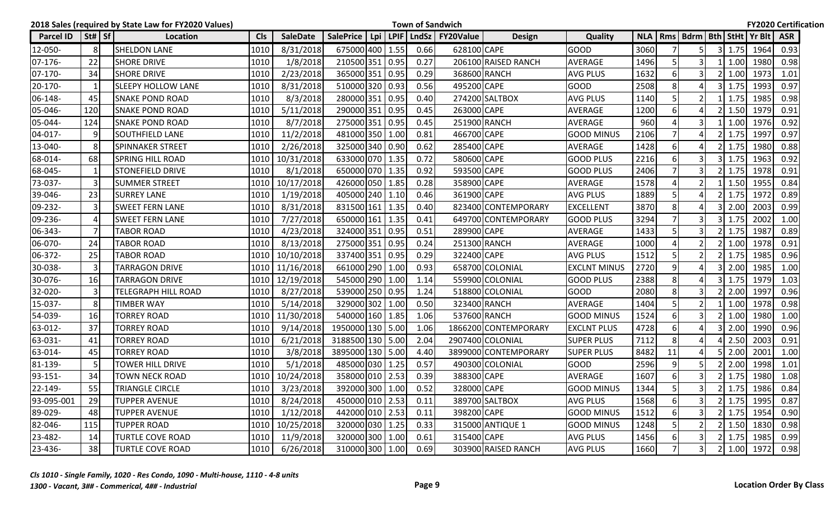|                  |                                | 2018 Sales (required by State Law for FY2020 Values) |               |                 |                  |  |      | <b>Town of Sandwich</b>                    |                      |                     |            |                |                          |                    |                                  | <b>FY2020 Certification</b> |  |
|------------------|--------------------------------|------------------------------------------------------|---------------|-----------------|------------------|--|------|--------------------------------------------|----------------------|---------------------|------------|----------------|--------------------------|--------------------|----------------------------------|-----------------------------|--|
| <b>Parcel ID</b> | $\left  \text{St#} \right $ Sf | Location                                             | <b>CIs</b>    | <b>SaleDate</b> |                  |  |      | SalePrice   Lpi   LPIF   LndSz   FY20Value | <b>Design</b>        | Quality             | <b>NLA</b> |                |                          |                    | Rms   Bdrm   Bth   StHt   Yr Blt | <b>ASR</b>                  |  |
| 12-050-          | 8                              | <b>SHELDON LANE</b>                                  | 1010          | 8/31/2018       | 675000 400 1.55  |  | 0.66 | 628100 CAPE                                |                      | <b>GOOD</b>         | 3060       |                | 5                        | $3 \mid 1.75$      | 1964                             | 0.93                        |  |
| 07-176-          | 22                             | <b>SHORE DRIVE</b>                                   | 1010          | 1/8/2018        | 210500 351 0.95  |  | 0.27 |                                            | 206100 RAISED RANCH  | <b>AVERAGE</b>      | 1496       | 5              | 3                        | 1.00               | 1980                             | 0.98                        |  |
| 07-170-          | 34                             | <b>SHORE DRIVE</b>                                   | 1010          | 2/23/2018       | 365000 351 0.95  |  | 0.29 |                                            | 368600 RANCH         | <b>AVG PLUS</b>     | 1632       | 6              | 3                        | 1.00               | 1973                             | 1.01                        |  |
| 20-170-          | 1                              | <b>SLEEPY HOLLOW LANE</b>                            | 1010          | 8/31/2018       | 510000 320 0.93  |  | 0.56 | 495200 CAPE                                |                      | <b>GOOD</b>         | 2508       | 8              |                          | 1.75               | 1993                             | 0.97                        |  |
| 06-148-          | 45                             | <b>SNAKE POND ROAD</b>                               | 1010          | 8/3/2018        | 280000 351 0.95  |  | 0.40 |                                            | 274200 SALTBOX       | <b>AVG PLUS</b>     | 1140       | 5              |                          | 1.75               | 1985                             | 0.98                        |  |
| 05-046-          | 120                            | <b>SNAKE POND ROAD</b>                               | 1010          | 5/11/2018       | 290000 351 0.95  |  | 0.45 | 263000 CAPE                                |                      | <b>AVERAGE</b>      | 1200       | 6              |                          | 1.50               | 1979                             | 0.91                        |  |
| 05-044-          | 124                            | <b>SNAKE POND ROAD</b>                               | 1010          | 8/7/2018        | 275000 351 0.95  |  | 0.45 |                                            | 251900 RANCH         | <b>AVERAGE</b>      | 960        |                |                          | 1.00               | 1976                             | 0.92                        |  |
| 04-017-          | 9                              | <b>SOUTHFIELD LANE</b>                               | 1010          | 11/2/2018       | 481000 350 1.00  |  | 0.81 | 466700 CAPE                                |                      | <b>GOOD MINUS</b>   | 2106       |                |                          | 1.75               | 1997                             | 0.97                        |  |
| 13-040-          | 8                              | SPINNAKER STREET                                     | 1010          | 2/26/2018       | 325000 340 0.90  |  | 0.62 | 285400 CAPE                                |                      | <b>AVERAGE</b>      | 1428       | 6              |                          | 1.75               | 1980                             | 0.88                        |  |
| 68-014-          | 68                             | <b>SPRING HILL ROAD</b>                              | 1010          | 10/31/2018      | 633000 070 1.35  |  | 0.72 | 580600 CAPE                                |                      | <b>GOOD PLUS</b>    | 2216       | 6              |                          | 1.75               | 1963                             | 0.92                        |  |
| 68-045-          | 1                              | <b>STONEFIELD DRIVE</b>                              | 1010          | 8/1/2018        | 650000 070 1.35  |  | 0.92 | 593500 CAPE                                |                      | <b>GOOD PLUS</b>    | 2406       | $\overline{7}$ | 3                        | 1.75               | 1978                             | 0.91                        |  |
| 73-037-          | 3                              | <b>SUMMER STREET</b>                                 | 1010          | 10/17/2018      | 426000 050 1.85  |  | 0.28 | 358900 CAPE                                |                      | AVERAGE             | 1578       | Δ              |                          | 1.50               | 1955                             | 0.84                        |  |
| 39-046-          | 23                             | <b>SURREY LANE</b>                                   | 1010          | 1/19/2018       | 405000 240 1.10  |  | 0.46 | 361900 CAPE                                |                      | <b>AVG PLUS</b>     | 1889       | 5              |                          | 1.75               | 1972                             | 0.89                        |  |
| 09-232-          | 3                              | <b>SWEET FERN LANE</b>                               | 1010          | 8/31/2018       | 831500 161 1.35  |  | 0.40 |                                            | 823400 CONTEMPORARY  | <b>EXCELLENT</b>    | 3870       | 8              |                          | 2.00               | 2003                             | 0.99                        |  |
| 09-236-          | 4                              | <b>SWEET FERN LANE</b>                               | 1010          | 7/27/2018       | 650000 161 1.35  |  | 0.41 |                                            | 649700 CONTEMPORARY  | <b>GOOD PLUS</b>    | 3294       | $\overline{7}$ | 3                        | 1.75               | 2002                             | 1.00                        |  |
| 06-343-          | $\overline{7}$                 | <b>TABOR ROAD</b>                                    | 1010          | 4/23/2018       | 324000 351 0.95  |  | 0.51 | 289900 CAPE                                |                      | <b>AVERAGE</b>      | 1433       | 5              |                          | 1.75               | 1987                             | 0.89                        |  |
| 06-070-          | 24                             | TABOR ROAD                                           | 1010          | 8/13/2018       | 275000 351 0.95  |  | 0.24 |                                            | 251300 RANCH         | AVERAGE             | 1000       |                |                          | 1.00               | 1978                             | 0.91                        |  |
| 06-372-          | 25                             | <b>TABOR ROAD</b>                                    | 1010          | 10/10/2018      | 337400 351 0.95  |  | 0.29 | 322400 CAPE                                |                      | <b>AVG PLUS</b>     | 1512       | 5              | $\overline{\phantom{a}}$ | 1.75               | 1985                             | 0.96                        |  |
| 30-038-          | 3                              | <b>TARRAGON DRIVE</b>                                | 1010          | 11/16/2018      | 661000 290 1.00  |  | 0.93 |                                            | 658700 COLONIAL      | <b>EXCLNT MINUS</b> | 2720       | 9              |                          | 2.00               | 1985                             | 1.00                        |  |
| 30-076-          | 16                             | <b>TARRAGON DRIVE</b>                                | 1010          | 12/19/2018      | 545000 290 1.00  |  | 1.14 |                                            | 559900 COLONIAL      | <b>GOOD PLUS</b>    | 2388       | 8              |                          | 1.75               | 1979                             | 1.03                        |  |
| 32-020-          | $\overline{3}$                 | <b>TELEGRAPH HILL ROAD</b>                           | 1010          | 8/27/2018       | 539000 250 0.95  |  | 1.24 |                                            | 518800 COLONIAL      | <b>GOOD</b>         | 2080       | 8              | 3                        | 2.00               | 1997                             | 0.96                        |  |
| 15-037-          | 8                              | <b>TIMBER WAY</b>                                    | 1010          | 5/14/2018       | 329000 302 1.00  |  | 0.50 |                                            | 323400 RANCH         | <b>AVERAGE</b>      | 1404       | 5              | $\overline{2}$           | 1.00               | 1978                             | 0.98                        |  |
| 54-039-          | 16                             | <b>TORREY ROAD</b>                                   | 1010          | 11/30/2018      | 540000 160 1.85  |  | 1.06 |                                            | 537600 RANCH         | <b>GOOD MINUS</b>   | 1524       | 6              | 3                        | 1.00               | 1980                             | 1.00                        |  |
| 63-012-          | 37                             | TORREY ROAD                                          | 1010          | 9/14/2018       | 1950000 130 5.00 |  | 1.06 |                                            | 1866200 CONTEMPORARY | <b>EXCLNT PLUS</b>  | 4728       | 6              |                          | 2.00               | 1990                             | 0.96                        |  |
| 63-031-          | 41                             | <b>TORREY ROAD</b>                                   | 1010          | 6/21/2018       | 3188500 130 5.00 |  | 2.04 |                                            | 2907400 COLONIAL     | <b>SUPER PLUS</b>   | 7112       | 8              |                          | 2.50               | 2003                             | 0.91                        |  |
| 63-014-          | 45                             | <b>TORREY ROAD</b>                                   | 1010          | 3/8/2018        | 3895000 130 5.00 |  | 4.40 |                                            | 3899000 CONTEMPORARY | <b>SUPER PLUS</b>   | 8482       | 11             |                          | 2.00               | 2001                             | 1.00                        |  |
| 81-139-          | 5                              | TOWER HILL DRIVE                                     | 1010          | 5/1/2018        | 485000 030 1.25  |  | 0.57 |                                            | 490300 COLONIAL      | <b>GOOD</b>         | 2596       | 9              | 5                        | 2.00               | 1998                             | 1.01                        |  |
| 93-151-          | 34                             | TOWN NECK ROAD                                       | 1010          | 10/24/2018      | 358000 010 2.53  |  | 0.39 | 388300 CAPE                                |                      | <b>AVERAGE</b>      | 1607       | 6              |                          | 1.75               | 1980                             | 1.08                        |  |
| 22-149-          | 55                             | <b>TRIANGLE CIRCLE</b>                               | 1010<br>$  -$ | 3/23/2018       | 392000 300 1.00  |  | 0.52 | 328000 CAPE                                |                      | <b>GOOD MINUS</b>   | 1344       | $\overline{5}$ | $\overline{3}$           | $2 \mid 1.75 \mid$ | 1986                             | 0.84                        |  |
| 93-095-001       | 29                             | <b>TUPPER AVENUE</b>                                 | 1010          | 8/24/2018       | 450000 010 2.53  |  | 0.11 |                                            | 389700 SALTBOX       | <b>AVG PLUS</b>     | 1568       | $6 \mid$       | 3I                       | $2 \mid 1.75$      | 1995                             | 0.87                        |  |
| 89-029-          | 48                             | <b>TUPPER AVENUE</b>                                 | 1010          | 1/12/2018       | 442000 010 2.53  |  | 0.11 | 398200 CAPE                                |                      | <b>GOOD MINUS</b>   | 1512       | 6              |                          | $2$ 1.75           | 1954                             | 0.90                        |  |
| 82-046-          | 115                            | <b>TUPPER ROAD</b>                                   |               | 1010 10/25/2018 | 320000 030 1.25  |  | 0.33 |                                            | 315000 ANTIQUE 1     | <b>GOOD MINUS</b>   | 1248       | 5              |                          | $2 \mid 1.50$      | 1830                             | 0.98                        |  |
| 23-482-          | 14                             | <b>TURTLE COVE ROAD</b>                              | 1010          | 11/9/2018       | 320000 300 1.00  |  | 0.61 | 315400 CAPE                                |                      | AVG PLUS            | 1456       | 6              | 31                       | $2 \mid 1.75$      | 1985                             | 0.99                        |  |
| 23-436-          | 38                             | <b>TURTLE COVE ROAD</b>                              | 1010          | 6/26/2018       | 310000 300 1.00  |  | 0.69 |                                            | 303900 RAISED RANCH  | AVG PLUS            | 1660       | $7^{\circ}$    | $\overline{\mathbf{3}}$  |                    | 2 1.00 1972                      | 0.98                        |  |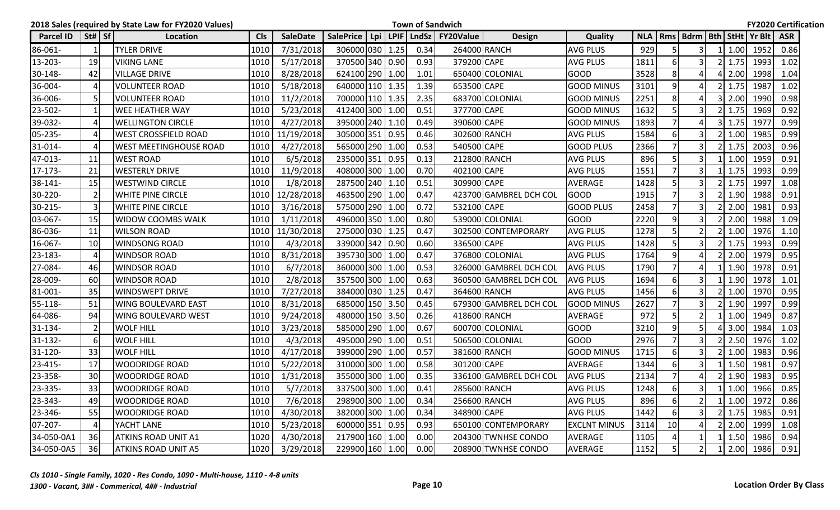|                  |                                | 2018 Sales (required by State Law for FY2020 Values) |            |                 |                  |  |      | <b>Town of Sandwich</b>        |                        |                     |      |                |                                        |            |               | <b>FY2020 Certification</b> |  |
|------------------|--------------------------------|------------------------------------------------------|------------|-----------------|------------------|--|------|--------------------------------|------------------------|---------------------|------|----------------|----------------------------------------|------------|---------------|-----------------------------|--|
| <b>Parcel ID</b> | $\left  \text{St#} \right $ Sf | Location                                             | <b>CIs</b> | <b>SaleDate</b> | <b>SalePrice</b> |  |      | Lpi   LPIF   LndSz   FY20Value | <b>Design</b>          | Quality             |      |                | NLA   Rms   Bdrm   Bth   StHt   Yr Blt |            |               | <b>ASR</b>                  |  |
| 86-061-          | 1                              | <b>TYLER DRIVE</b>                                   | 1010       | 7/31/2018       | 306000 030 1.25  |  | 0.34 |                                | 264000 RANCH           | <b>AVG PLUS</b>     | 929  |                | 3                                      | 1.00       | 1952          | 0.86                        |  |
| 13-203-          | 19                             | <b>VIKING LANE</b>                                   | 1010       | 5/17/2018       | 370500 340 0.90  |  | 0.93 | 379200 CAPE                    |                        | AVG PLUS            | 1811 | 6              |                                        | 1.75       | 1993          | 1.02                        |  |
| 30-148-          | 42                             | <b>VILLAGE DRIVE</b>                                 | 1010       | 8/28/2018       | 624100 290 1.00  |  | 1.01 |                                | 650400 COLONIAL        | GOOD                | 3528 | 8              |                                        | 2.00       | 1998          | 1.04                        |  |
| 36-004-          | $\overline{4}$                 | <b>VOLUNTEER ROAD</b>                                | 1010       | 5/18/2018       | 640000 110 1.35  |  | 1.39 | 653500 CAPE                    |                        | <b>GOOD MINUS</b>   | 3101 | 9              |                                        | 1.75       | 1987          | 1.02                        |  |
| 36-006-          | 5                              | <b>VOLUNTEER ROAD</b>                                | 1010       | 11/2/2018       | 700000 110 1.35  |  | 2.35 |                                | 683700 COLONIAL        | GOOD MINUS          | 2251 | 8              |                                        | 2.00       | 1990          | 0.98                        |  |
| 23-502-          | $\mathbf{1}$                   | <b>WEE HEATHER WAY</b>                               | 1010       | 5/23/2018       | 412400 300 1.00  |  | 0.51 | 377700 CAPE                    |                        | <b>GOOD MINUS</b>   | 1632 | 5              | 3                                      | 1.75       | 1969          | 0.92                        |  |
| 39-032-          | $\overline{4}$                 | <b>WELLINGTON CIRCLE</b>                             | 1010       | 4/27/2018       | 395000 240 1.10  |  | 0.49 | 390600 CAPE                    |                        | <b>GOOD MINUS</b>   | 1893 |                |                                        | 1.75       | 1977          | 0.99                        |  |
| 05-235-          | $\overline{4}$                 | <b>WEST CROSSFIELD ROAD</b>                          | 1010       | 11/19/2018      | 305000 351 0.95  |  | 0.46 |                                | 302600 RANCH           | <b>AVG PLUS</b>     | 1584 | 6              |                                        | 1.00       | 1985          | 0.99                        |  |
| 31-014-          | $\overline{4}$                 | <b>WEST MEETINGHOUSE ROAD</b>                        | 1010       | 4/27/2018       | 565000 290 1.00  |  | 0.53 | 540500 CAPE                    |                        | <b>GOOD PLUS</b>    | 2366 | $\overline{7}$ | 3                                      | 1.75       | 2003          | 0.96                        |  |
| 47-013-          | 11                             | <b>WEST ROAD</b>                                     | 1010       | 6/5/2018        | 235000 351 0.95  |  | 0.13 |                                | 212800 RANCH           | <b>AVG PLUS</b>     | 896  | 5              | 3                                      | 1.00       | 1959          | 0.91                        |  |
| 17-173-          | 21                             | <b>WESTERLY DRIVE</b>                                | 1010       | 11/9/2018       | 408000 300 1.00  |  | 0.70 | 402100 CAPE                    |                        | <b>AVG PLUS</b>     | 1551 | $\overline{7}$ | 3                                      | 1.75       | 1993          | 0.99                        |  |
| 38-141-          | 15                             | <b>WESTWIND CIRCLE</b>                               | 1010       | 1/8/2018        | 287500 240 1.10  |  | 0.51 | 309900 CAPE                    |                        | AVERAGE             | 1428 | 5              | 3                                      | 1.75       | 1997          | 1.08                        |  |
| 30-220-          | $\overline{2}$                 | <b>WHITE PINE CIRCLE</b>                             | 1010       | 12/28/2018      | 463500 290 1.00  |  | 0.47 |                                | 423700 GAMBREL DCH COL | <b>GOOD</b>         | 1915 | $\overline{7}$ | 3                                      | 1.90       | 1988          | 0.91                        |  |
| 30-215-          | $\overline{3}$                 | <b>WHITE PINE CIRCLE</b>                             | 1010       | 3/16/2018       | 575000 290 1.00  |  | 0.72 | 532100 CAPE                    |                        | <b>GOOD PLUS</b>    | 2458 | $\overline{7}$ |                                        | 2.00       | 1981          | 0.93                        |  |
| 03-067-          | 15                             | <b>WIDOW COOMBS WALK</b>                             | 1010       | 1/11/2018       | 496000 350 1.00  |  | 0.80 |                                | 539000 COLONIAL        | <b>GOOD</b>         | 2220 | 9              | 3                                      | 2.00       | 1988          | 1.09                        |  |
| 86-036-          | 11                             | <b>WILSON ROAD</b>                                   |            | 1010 11/30/2018 | 275000 030 1.25  |  | 0.47 |                                | 302500 CONTEMPORARY    | <b>AVG PLUS</b>     | 1278 | 5              | $\overline{2}$                         | 1.00       | 1976          | 1.10                        |  |
| 16-067-          | 10                             | <b>WINDSONG ROAD</b>                                 | 1010       | 4/3/2018        | 339000 342 0.90  |  | 0.60 | 336500 CAPE                    |                        | <b>AVG PLUS</b>     | 1428 | 5              | 3                                      | 1.75       | 1993          | 0.99                        |  |
| 23-183-          | $\overline{4}$                 | <b>WINDSOR ROAD</b>                                  | 1010       | 8/31/2018       | 395730 300 1.00  |  | 0.47 |                                | 376800 COLONIAL        | <b>AVG PLUS</b>     | 1764 | 9              |                                        | 2.00       | 1979          | 0.95                        |  |
| 27-084-          | 46                             | <b>WINDSOR ROAD</b>                                  | 1010       | 6/7/2018        | 360000 300 1.00  |  | 0.53 |                                | 326000 GAMBREL DCH COL | <b>AVG PLUS</b>     | 1790 |                |                                        | 1.90       | 1978          | 0.91                        |  |
| 28-009-          | 60                             | <b>WINDSOR ROAD</b>                                  | 1010       | 2/8/2018        | 357500 300 1.00  |  | 0.63 |                                | 360500 GAMBREL DCH COL | <b>AVG PLUS</b>     | 1694 | 6              |                                        | 1.90       | 1978          | 1.01                        |  |
| 81-001-          | 35                             | <b>WINDSWEPT DRIVE</b>                               | 1010       | 7/27/2018       | 384000 030 1.25  |  | 0.47 |                                | 364600 RANCH           | <b>AVG PLUS</b>     | 1456 | 6              | 3                                      | 1.00       | 1970          | 0.95                        |  |
| 55-118-          | 51                             | <b>WING BOULEVARD EAST</b>                           | 1010       | 8/31/2018       | 685000 150 3.50  |  | 0.45 |                                | 679300 GAMBREL DCH COL | <b>GOOD MINUS</b>   | 2627 | $\overline{7}$ | 3                                      | 1.90       | 1997          | 0.99                        |  |
| 64-086-          | 94                             | <b>WING BOULEVARD WEST</b>                           | 1010       | 9/24/2018       | 480000 150 3.50  |  | 0.26 |                                | 418600 RANCH           | <b>AVERAGE</b>      | 972  | 5              |                                        | 1.00       | 1949          | 0.87                        |  |
| 31-134-          | $\overline{2}$                 | <b>WOLF HILL</b>                                     | 1010       | 3/23/2018       | 585000 290 1.00  |  | 0.67 |                                | 600700 COLONIAL        | GOOD                | 3210 | 9              |                                        | 3.00       | 1984          | 1.03                        |  |
| $31 - 132 -$     | $6 \mid$                       | <b>WOLF HILL</b>                                     | 1010       | 4/3/2018        | 495000 290 1.00  |  | 0.51 |                                | 506500 COLONIAL        | <b>GOOD</b>         | 2976 | $\overline{7}$ | 3                                      | 2.50       | 1976          | 1.02                        |  |
| 31-120-          | 33                             | <b>WOLF HILL</b>                                     | 1010       | 4/17/2018       | 399000 290 1.00  |  | 0.57 |                                | 381600 RANCH           | <b>GOOD MINUS</b>   | 1715 | 6              |                                        | 1.00       | 1983          | 0.96                        |  |
| 23-415-          | 17                             | <b>WOODRIDGE ROAD</b>                                | 1010       | 5/22/2018       | 310000 300 1.00  |  | 0.58 | 301200 CAPE                    |                        | AVERAGE             | 1344 | 6              | 3                                      | 1.50       | 1981          | 0.97                        |  |
| 23-358-          | 30                             | <b>WOODRIDGE ROAD</b>                                | 1010       | 1/31/2018       | 355000 300 1.00  |  | 0.35 |                                | 336100 GAMBREL DCH COL | <b>AVG PLUS</b>     | 2134 | $\overline{7}$ |                                        | 1.90       | 1983          | 0.95                        |  |
| 23-335-          | 33                             | <b>WOODRIDGE ROAD</b>                                | 1010       | 5/7/2018        | 337500 300 1.00  |  | 0.41 |                                | 285600 RANCH           | <b>AVG PLUS</b>     | 1248 | 6              | 3                                      | $1 \ 1.00$ | 1966          | 0.85                        |  |
| 23-343-          | 49                             | <b>WOODRIDGE ROAD</b>                                | 1010       | 7/6/2018        | 298900 300 1.00  |  | 0.34 |                                | 256600 RANCH           | <b>AVG PLUS</b>     | 896  | 6              | $\overline{2}$                         |            | 1 1.00 1972   | 0.86                        |  |
| 23-346-          | 55                             | <b>WOODRIDGE ROAD</b>                                | 1010       | 4/30/2018       | 382000 300 1.00  |  | 0.34 | 348900 CAPE                    |                        | <b>AVG PLUS</b>     | 1442 | 6              |                                        | 1.75       | 1985          | 0.91                        |  |
| 07-207-          | $\overline{4}$                 | YACHT LANE                                           | 1010       | 5/23/2018       | 600000 351 0.95  |  | 0.93 |                                | 650100 CONTEMPORARY    | <b>EXCLNT MINUS</b> | 3114 | 10             |                                        | 2.00       | 1999          | 1.08                        |  |
| 34-050-0A1       | 36                             | <b>ATKINS ROAD UNIT A1</b>                           | 1020       | 4/30/2018       | 217900 160 1.00  |  | 0.00 |                                | 204300 TWNHSE CONDO    | <b>AVERAGE</b>      | 1105 |                |                                        | 1.50       | 1986          | 0.94                        |  |
| 34-050-0A5       | 36                             | <b>ATKINS ROAD UNIT A5</b>                           |            | 1020 3/29/2018  | 229900 160 1.00  |  | 0.00 |                                | 208900 TWNHSE CONDO    | AVERAGE             | 1152 | 5              | 2                                      |            | $ 2.00 $ 1986 | 0.91                        |  |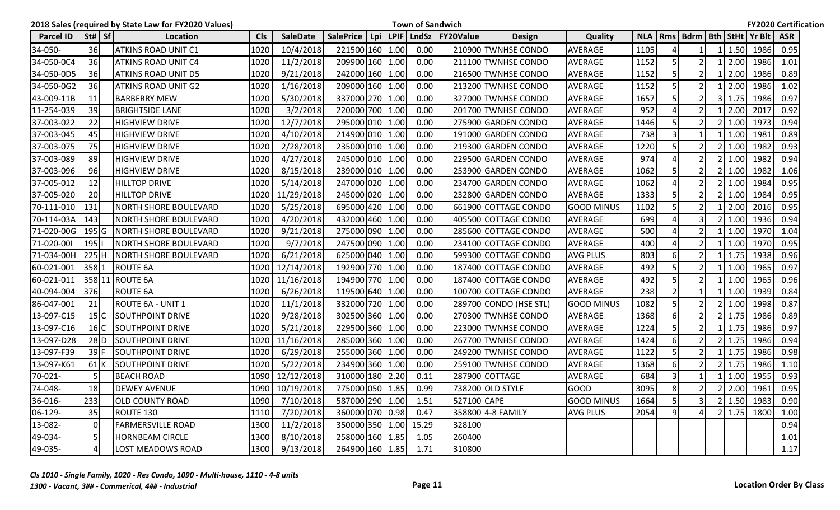|            |                | 2018 Sales (required by State Law for FY2020 Values) |            |                 |                 |  |       | <b>Town of Sandwich</b>                    |                        |                   |              |                         |                                  |                |      |      | <b>FY2020 Certification</b> |
|------------|----------------|------------------------------------------------------|------------|-----------------|-----------------|--|-------|--------------------------------------------|------------------------|-------------------|--------------|-------------------------|----------------------------------|----------------|------|------|-----------------------------|
| Parcel ID  | $St#$ Sf       | Location                                             | <b>Cls</b> | <b>SaleDate</b> |                 |  |       | SalePrice   Lpi   LPIF   LndSz   FY20Value | Design                 | <b>Quality</b>    | <b>NLA</b> I |                         | Rms   Bdrm   Bth   StHt   Yr Blt |                |      |      | <b>ASR</b>                  |
| 34-050-    | 36             | <b>ATKINS ROAD UNIT C1</b>                           | 1020       | 10/4/2018       | 221500 160 1.00 |  | 0.00  |                                            | 210900 TWNHSE CONDO    | <b>AVERAGE</b>    | 1105         | $\Lambda$               | $\mathbf{1}$                     |                | 1.50 | 1986 | 0.95                        |
| 34-050-0C4 | 36             | <b>ATKINS ROAD UNIT C4</b>                           | 1020       | 11/2/2018       | 209900 160 1.00 |  | 0.00  |                                            | 211100 TWNHSE CONDO    | <b>AVERAGE</b>    | 1152         | 5                       | $\overline{2}$                   |                | 2.00 | 1986 | 1.01                        |
| 34-050-0D5 | <b>36</b>      | ATKINS ROAD UNIT D5                                  | 1020       | 9/21/2018       | 242000 160 1.00 |  | 0.00  |                                            | 216500 TWNHSE CONDO    | <b>AVERAGE</b>    | 1152         | 5                       | 2                                |                | 2.00 | 1986 | 0.89                        |
| 34-050-0G2 | 36             | ATKINS ROAD UNIT G2                                  | 1020       | 1/16/2018       | 209000 160 1.00 |  | 0.00  |                                            | 213200 TWNHSE CONDO    | <b>AVERAGE</b>    | 1152         | 5                       | $\overline{2}$                   |                | 2.00 | 1986 | 1.02                        |
| 43-009-11B | 11             | <b>BARBERRY MEW</b>                                  | 1020       | 5/30/2018       | 337000 270 1.00 |  | 0.00  |                                            | 327000 TWNHSE CONDO    | <b>AVERAGE</b>    | 1657         | 5                       | $\overline{2}$                   |                | 1.75 | 1986 | 0.97                        |
| 11-254-039 | 39             | <b>BRIGHTSIDE LANE</b>                               | 1020       | 3/2/2018        | 220000 700 1.00 |  | 0.00  |                                            | 201700 TWNHSE CONDO    | <b>AVERAGE</b>    | 952          | $\Delta$                | 2                                |                | 2.00 | 2017 | 0.92                        |
| 37-003-022 | 22             | <b>HIGHVIEW DRIVE</b>                                | 1020       | 12/7/2018       | 295000 010 1.00 |  | 0.00  |                                            | 275900 GARDEN CONDO    | <b>AVERAGE</b>    | 1446         | 5                       |                                  |                | 1.00 | 1973 | 0.94                        |
| 37-003-045 | 45             | <b>HIGHVIEW DRIVE</b>                                | 1020       | 4/10/2018       | 214900 010 1.00 |  | 0.00  |                                            | 191000 GARDEN CONDO    | <b>AVERAGE</b>    | 738          | 3                       |                                  |                | 1.00 | 1981 | 0.89                        |
| 37-003-075 | 75             | <b>HIGHVIEW DRIVE</b>                                | 1020       | 2/28/2018       | 235000 010 1.00 |  | 0.00  |                                            | 219300 GARDEN CONDO    | <b>AVERAGE</b>    | 1220         | 5                       | $\mathfrak{p}$                   |                | 1.00 | 1982 | 0.93                        |
| 37-003-089 | 89             | <b>HIGHVIEW DRIVE</b>                                | 1020       | 4/27/2018       | 245000 010 1.00 |  | 0.00  |                                            | 229500 GARDEN CONDO    | AVERAGE           | 974          | $\Delta$                | 2                                |                | 1.00 | 1982 | 0.94                        |
| 37-003-096 | 96             | <b>HIGHVIEW DRIVE</b>                                | 1020       | 8/15/2018       | 239000 010 1.00 |  | 0.00  |                                            | 253900 GARDEN CONDO    | <b>AVERAGE</b>    | 1062         | 5                       | $\overline{2}$                   |                | 1.00 | 1982 | 1.06                        |
| 37-005-012 | 12             | <b>HILLTOP DRIVE</b>                                 | 1020       | 5/14/2018       | 247000 020 1.00 |  | 0.00  |                                            | 234700 GARDEN CONDO    | <b>AVERAGE</b>    | 1062         | $\Delta$                | $\overline{2}$                   |                | 1.00 | 1984 | 0.95                        |
| 37-005-020 | 20             | <b>HILLTOP DRIVE</b>                                 | 1020       | 11/29/2018      | 245000 020 1.00 |  | 0.00  |                                            | 232800 GARDEN CONDO    | <b>AVERAGE</b>    | 1333         | 5                       | $\overline{2}$                   |                | 1.00 | 1984 | 0.95                        |
| 70-111-010 | 131            | <b>NORTH SHORE BOULEVARD</b>                         | 1020       | 5/25/2018       | 695000 420 1.00 |  | 0.00  |                                            | 661900 COTTAGE CONDO   | <b>GOOD MINUS</b> | 1102         | 5                       |                                  |                | 2.00 | 2016 | 0.95                        |
| 70-114-03A | 143            | NORTH SHORE BOULEVARD                                | 1020       | 4/20/2018       | 432000 460 1.00 |  | 0.00  |                                            | 405500 COTTAGE CONDO   | <b>AVERAGE</b>    | 699          | $\boldsymbol{\Delta}$   | $\overline{3}$                   |                | 1.00 | 1936 | 0.94                        |
| 71-020-00G | $195$ G        | <b>NORTH SHORE BOULEVARD</b>                         | 1020       | 9/21/2018       | 275000 090 1.00 |  | 0.00  |                                            | 285600 COTTAGE CONDO   | <b>AVERAGE</b>    | 500          | $\boldsymbol{\Delta}$   | $\overline{2}$                   |                | 1.00 | 1970 | 1.04                        |
| 71-020-001 | $195$          | <b>NORTH SHORE BOULEVARD</b>                         | 1020       | 9/7/2018        | 247500 090 1.00 |  | 0.00  |                                            | 234100 COTTAGE CONDO   | <b>AVERAGE</b>    | 400          | $\boldsymbol{\Delta}$   | $\overline{2}$                   |                | 1.00 | 1970 | 0.95                        |
| 71-034-00H |                | 225 H   NORTH SHORE BOULEVARD                        | 1020       | 6/21/2018       | 625000 040 1.00 |  | 0.00  |                                            | 599300 COTTAGE CONDO   | <b>AVG PLUS</b>   | 803          | 6                       | $\overline{2}$                   |                | 1.75 | 1938 | 0.96                        |
| 60-021-001 | 358 1          | <b>ROUTE 6A</b>                                      | 1020       | 12/14/2018      | 192900 770 1.00 |  | 0.00  |                                            | 187400 COTTAGE CONDO   | <b>AVERAGE</b>    | 492          | 5                       | $\overline{2}$                   |                | 1.00 | 1965 | 0.97                        |
| 60-021-011 |                | 358 11 ROUTE 6A                                      | 1020       | 11/16/2018      | 194900 770 1.00 |  | 0.00  |                                            | 187400 COTTAGE CONDO   | <b>AVERAGE</b>    | 492          | 5                       | $\overline{2}$                   |                | 1.00 | 1965 | 0.96                        |
| 40-094-004 | 376            | <b>ROUTE 6A</b>                                      | 1020       | 6/26/2018       | 119500 640 1.00 |  | 0.00  |                                            | 100700 COTTAGE CONDO   | <b>AVERAGE</b>    | 238          | $\overline{2}$          |                                  |                | 1.00 | 1939 | 0.84                        |
| 86-047-001 | 21             | ROUTE 6A - UNIT 1                                    | 1020       | 11/1/2018       | 332000 720 1.00 |  | 0.00  |                                            | 289700 CONDO (HSE STL) | <b>GOOD MINUS</b> | 1082         | 5                       | 2                                |                | 1.00 | 1998 | 0.87                        |
| 13-097-C15 | 15 C           | <b>SOUTHPOINT DRIVE</b>                              | 1020       | 9/28/2018       | 302500 360 1.00 |  | 0.00  |                                            | 270300 TWNHSE CONDO    | <b>AVERAGE</b>    | 1368         | 6                       | $\mathcal{P}$                    |                | 1.75 | 1986 | 0.89                        |
| 13-097-C16 | 16 IC          | <b>SOUTHPOINT DRIVE</b>                              | 1020       | 5/21/2018       | 229500 360 1.00 |  | 0.00  |                                            | 223000 TWNHSE CONDO    | <b>AVERAGE</b>    | 1224         | 5                       | 2                                |                | 1.75 | 1986 | 0.97                        |
| 13-097-D28 | $28$ D         | SOUTHPOINT DRIVE                                     | 1020       | 11/16/2018      | 285000 360 1.00 |  | 0.00  |                                            | 267700 TWNHSE CONDO    | <b>AVERAGE</b>    | 1424         | 6                       | $\overline{2}$                   |                | 1.75 | 1986 | 0.94                        |
| 13-097-F39 | $39$ F         | ISOUTHPOINT DRIVE                                    | 1020       | 6/29/2018       | 255000 360 1.00 |  | 0.00  |                                            | 249200 TWNHSE CONDO    | <b>AVERAGE</b>    | 1122         | 5                       | $\overline{2}$                   |                | 1.75 | 1986 | 0.98                        |
| 13-097-K61 | 61K            | <b>SOUTHPOINT DRIVE</b>                              | 1020       | 5/22/2018       | 234900 360 1.00 |  | 0.00  |                                            | 259100 TWNHSE CONDO    | <b>AVERAGE</b>    | 1368         | 6                       | $\overline{2}$                   |                | 1.75 | 1986 | 1.10                        |
| 70-021-    | 5              | <b>BEACH ROAD</b>                                    | 1090       | 12/12/2018      | 310000 180 2.20 |  | 0.11  |                                            | 287900 COTTAGE         | AVERAGE           | 684          | $\overline{\mathbf{3}}$ |                                  |                | 1.00 | 1955 | 0.93                        |
| 74-048-    | <b>18</b>      | <b>DEWEY AVENUE</b>                                  | 1090       | 10/19/2018      | 775000 050 1.85 |  | 0.99  |                                            | 738200 OLD STYLE       | <b>GOOD</b>       | 3095         | 8                       | $\overline{\phantom{a}}$         |                | 2.00 | 1961 | 0.95                        |
| 36-016-    | 233            | <b>OLD COUNTY ROAD</b>                               | 1090       | 7/10/2018       | 587000 290 1.00 |  | 1.51  | 527100 CAPE                                |                        | <b>GOOD MINUS</b> | 1664         | 5                       | $\overline{3}$                   | $\overline{2}$ | 1.50 | 1983 | 0.90                        |
| 06-129-    | 35             | ROUTE 130                                            | 1110       | 7/20/2018       | 360000 070 0.98 |  | 0.47  |                                            | 358800 4-8 FAMILY      | <b>AVG PLUS</b>   | 2054         | 9                       |                                  |                | 1.75 | 1800 | 1.00                        |
| 13-082-    | $\mathbf 0$    | <b>FARMERSVILLE ROAD</b>                             | 1300       | 11/2/2018       | 350000 350 1.00 |  | 15.29 | 328100                                     |                        |                   |              |                         |                                  |                |      |      | 0.94                        |
| 49-034-    | 5              | HORNBEAM CIRCLE                                      | 1300       | 8/10/2018       | 258000 160 1.85 |  | 1.05  | 260400                                     |                        |                   |              |                         |                                  |                |      |      | 1.01                        |
| 49-035-    | $\overline{4}$ | <b>LOST MEADOWS ROAD</b>                             | 1300       | 9/13/2018       | 264900 160 1.85 |  | 1.71  | 310800                                     |                        |                   |              |                         |                                  |                |      |      | 1.17                        |